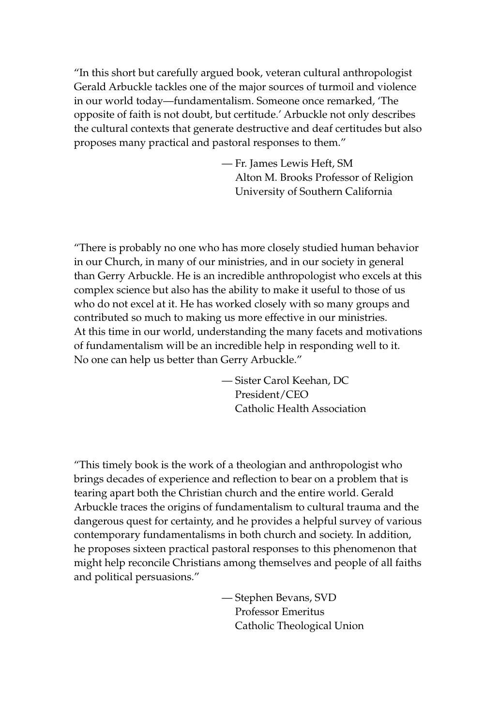"In this short but carefully argued book, veteran cultural anthropologist Gerald Arbuckle tackles one of the major sources of turmoil and violence in our world today—fundamentalism. Someone once remarked, 'The opposite of faith is not doubt, but certitude.' Arbuckle not only describes the cultural contexts that generate destructive and deaf certitudes but also proposes many practical and pastoral responses to them."

> — Fr. James Lewis Heft, SM Alton M. Brooks Professor of Religion University of Southern California

"There is probably no one who has more closely studied human behavior in our Church, in many of our ministries, and in our society in general than Gerry Arbuckle. He is an incredible anthropologist who excels at this complex science but also has the ability to make it useful to those of us who do not excel at it. He has worked closely with so many groups and contributed so much to making us more effective in our ministries. At this time in our world, understanding the many facets and motivations of fundamentalism will be an incredible help in responding well to it. No one can help us better than Gerry Arbuckle."

> — Sister Carol Keehan, DC President/CEO Catholic Health Association

"This timely book is the work of a theologian and anthropologist who brings decades of experience and reflection to bear on a problem that is tearing apart both the Christian church and the entire world. Gerald Arbuckle traces the origins of fundamentalism to cultural trauma and the dangerous quest for certainty, and he provides a helpful survey of various contemporary fundamentalisms in both church and society. In addition, he proposes sixteen practical pastoral responses to this phenomenon that might help reconcile Christians among themselves and people of all faiths and political persuasions."

> — Stephen Bevans, SVD Professor Emeritus Catholic Theological Union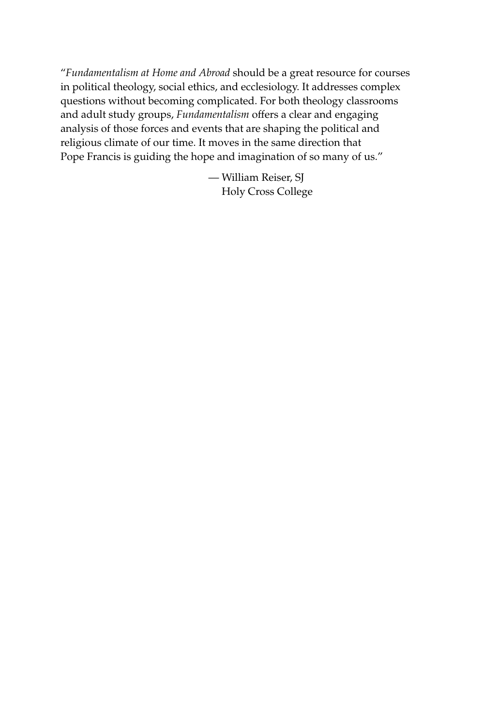"*Fundamentalism at Home and Abroad* should be a great resource for courses in political theology, social ethics, and ecclesiology. It addresses complex questions without becoming complicated. For both theology classrooms and adult study groups, *Fundamentalism* offers a clear and engaging analysis of those forces and events that are shaping the political and religious climate of our time. It moves in the same direction that Pope Francis is guiding the hope and imagination of so many of us."

> — William Reiser, SJ Holy Cross College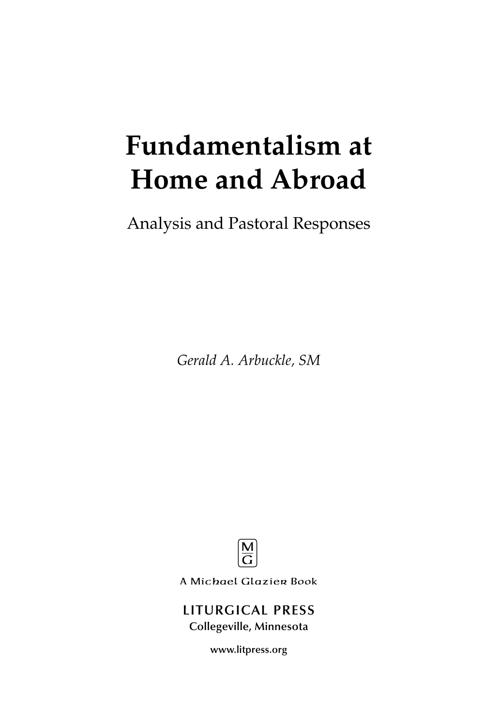# **Fundamentalism at Home and Abroad**

Analysis and Pastoral Responses

*Gerald A. Arbuckle, SM*



A Michael Glazier Book

#### **LITURGICAL PRESS Collegeville, Minnesota**

**www.litpress.org**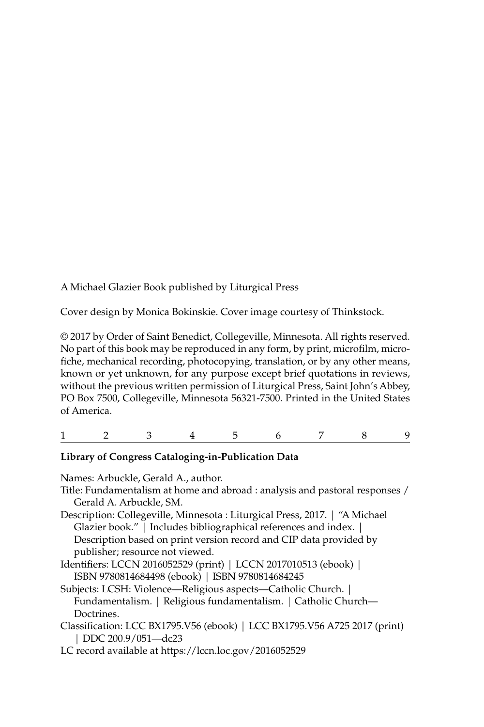A Michael Glazier Book published by Liturgical Press

Cover design by Monica Bokinskie. Cover image courtesy of Thinkstock.

© 2017 by Order of Saint Benedict, Collegeville, Minnesota. All rights reserved. No part of this book may be reproduced in any form, by print, microfilm, microfiche, mechanical recording, photocopying, translation, or by any other means, known or yet unknown, for any purpose except brief quotations in reviews, without the previous written permission of Liturgical Press, Saint John's Abbey, PO Box 7500, Collegeville, Minnesota 56321-7500. Printed in the United States of America.

|  |  |  | $\begin{array}{cccccccccccccccccc} 1 & 2 & 3 & 4 & 5 & 6 & 7 & 8 & 9 \end{array}$ |  |
|--|--|--|-----------------------------------------------------------------------------------|--|
|  |  |  |                                                                                   |  |

#### **Library of Congress Cataloging-in-Publication Data**

Names: Arbuckle, Gerald A., author. Title: Fundamentalism at home and abroad : analysis and pastoral responses / Gerald A. Arbuckle, SM. Description: Collegeville, Minnesota : Liturgical Press, 2017. | "A Michael Glazier book." | Includes bibliographical references and index. | Description based on print version record and CIP data provided by publisher; resource not viewed. Identifiers: LCCN 2016052529 (print) | LCCN 2017010513 (ebook) | ISBN 9780814684498 (ebook) | ISBN 9780814684245 Subjects: LCSH: Violence—Religious aspects—Catholic Church. | Fundamentalism. | Religious fundamentalism. | Catholic Church— **Doctrines** Classification: LCC BX1795.V56 (ebook) | LCC BX1795.V56 A725 2017 (print) | DDC 200.9/051—dc23

LC record available at https://lccn.loc.gov/2016052529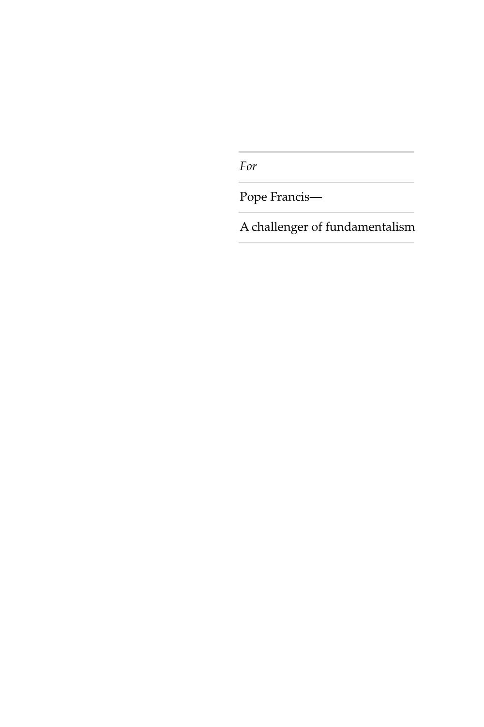*For*

Pope Francis—

A challenger of fundamentalism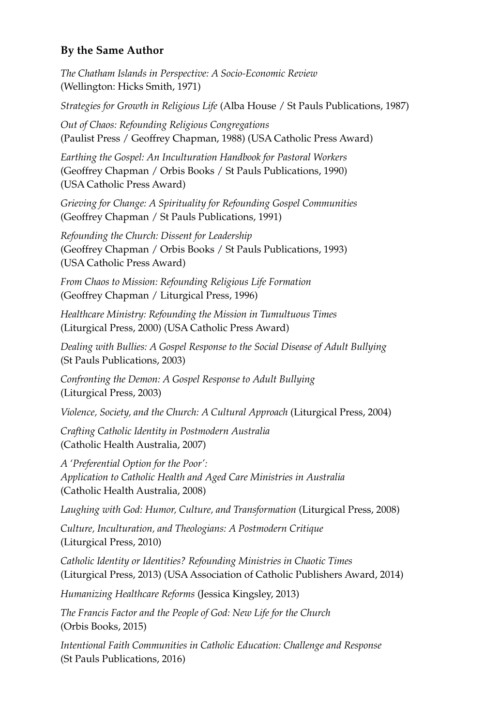#### **By the Same Author**

*The Chatham Islands in Perspective: A Socio-Economic Review* (Wellington: Hicks Smith, 1971)

*Strategies for Growth in Religious Life* (Alba House / St Pauls Publications, 1987)

*Out of Chaos: Refounding Religious Congregations* (Paulist Press / Geoffrey Chapman, 1988) (USA Catholic Press Award)

*Earthing the Gospel: An Inculturation Handbook for Pastoral Workers* (Geoffrey Chapman / Orbis Books / St Pauls Publications, 1990) (USA Catholic Press Award)

*Grieving for Change: A Spirituality for Refounding Gospel Communities* (Geoffrey Chapman / St Pauls Publications, 1991)

*Refounding the Church: Dissent for Leadership* (Geoffrey Chapman / Orbis Books / St Pauls Publications, 1993) (USA Catholic Press Award)

*From Chaos to Mission: Refounding Religious Life Formation* (Geoffrey Chapman / Liturgical Press, 1996)

*Healthcare Ministry: Refounding the Mission in Tumultuous Times* (Liturgical Press, 2000) (USA Catholic Press Award)

*Dealing with Bullies: A Gospel Response to the Social Disease of Adult Bullying* (St Pauls Publications, 2003)

*Confronting the Demon: A Gospel Response to Adult Bullying* (Liturgical Press, 2003)

*Violence, Society, and the Church: A Cultural Approach* (Liturgical Press, 2004)

*Crafting Catholic Identity in Postmodern Australia* (Catholic Health Australia, 2007)

*A 'Preferential Option for the Poor': Application to Catholic Health and Aged Care Ministries in Australia* (Catholic Health Australia, 2008)

*Laughing with God: Humor, Culture, and Transformation* (Liturgical Press, 2008)

*Culture, Inculturation, and Theologians: A Postmodern Critique* (Liturgical Press, 2010)

*Catholic Identity or Identities? Refounding Ministries in Chaotic Times* (Liturgical Press, 2013) (USA Association of Catholic Publishers Award, 2014)

*Humanizing Healthcare Reforms* (Jessica Kingsley, 2013)

*The Francis Factor and the People of God: New Life for the Church* (Orbis Books, 2015)

*Intentional Faith Communities in Catholic Education: Challenge and Response* (St Pauls Publications, 2016)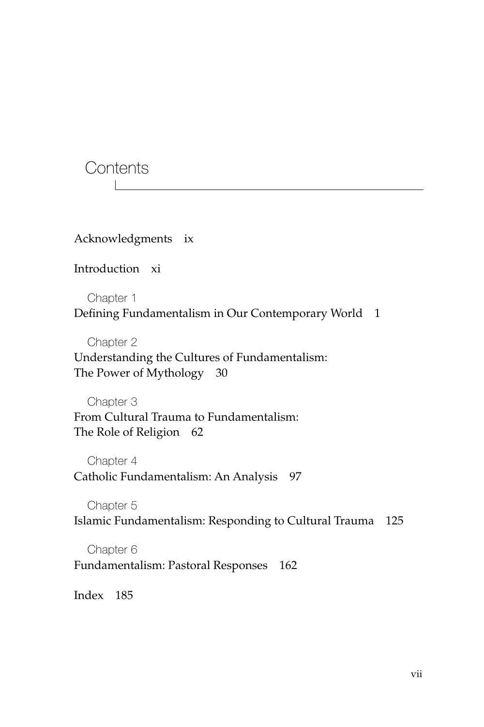**Contents** 

Acknowledgments ix

Introduction xi

Chapter 1 Defining Fundamentalism in Our Contemporary World 1

Chapter 2

Understanding the Cultures of Fundamentalism: The Power of Mythology 30

Chapter 3 From Cultural Trauma to Fundamentalism: The Role of Religion 62

Chapter 4 Catholic Fundamentalism: An Analysis 97

Chapter 5 Islamic Fundamentalism: Responding to Cultural Trauma 125

Chapter 6 Fundamentalism: Pastoral Responses 162

Index 185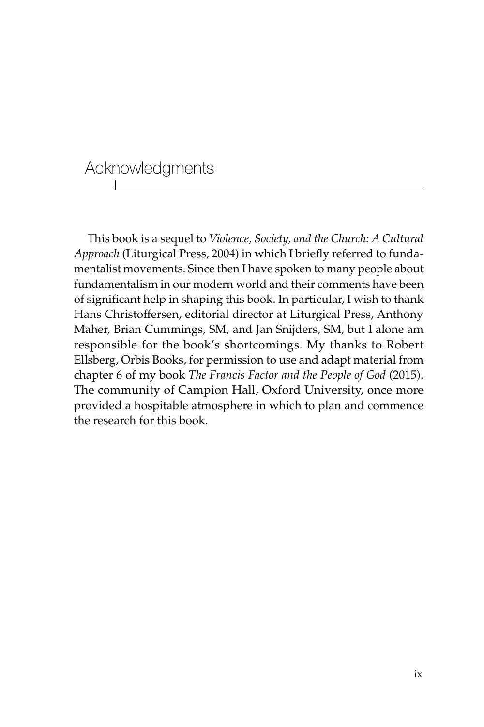# Acknowledgments

This book is a sequel to *Violence, Society, and the Church: A Cultural Approach* (Liturgical Press, 2004) in which I briefly referred to fundamentalist movements. Since then I have spoken to many people about fundamentalism in our modern world and their comments have been of significant help in shaping this book. In particular, I wish to thank Hans Christoffersen, editorial director at Liturgical Press, Anthony Maher, Brian Cummings, SM, and Jan Snijders, SM, but I alone am responsible for the book's shortcomings. My thanks to Robert Ellsberg, Orbis Books, for permission to use and adapt material from chapter 6 of my book *The Francis Factor and the People of God* (2015). The community of Campion Hall, Oxford University, once more provided a hospitable atmosphere in which to plan and commence the research for this book.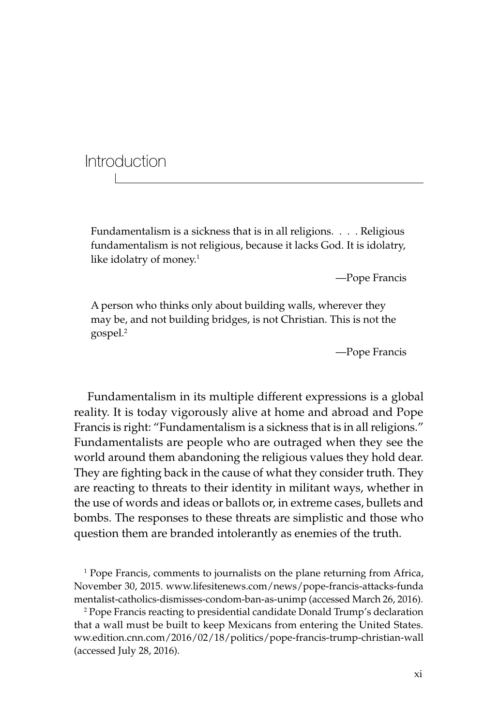Introduction

Fundamentalism is a sickness that is in all religions. . . . Religious fundamentalism is not religious, because it lacks God. It is idolatry, like idolatry of money. $1$ 

—Pope Francis

A person who thinks only about building walls, wherever they may be, and not building bridges, is not Christian. This is not the gospel.2

—Pope Francis

Fundamentalism in its multiple different expressions is a global reality. It is today vigorously alive at home and abroad and Pope Francis is right: "Fundamentalism is a sickness that is in all religions." Fundamentalists are people who are outraged when they see the world around them abandoning the religious values they hold dear. They are fighting back in the cause of what they consider truth. They are reacting to threats to their identity in militant ways, whether in the use of words and ideas or ballots or, in extreme cases, bullets and bombs. The responses to these threats are simplistic and those who question them are branded intolerantly as enemies of the truth.

<sup>1</sup> Pope Francis, comments to journalists on the plane returning from Africa, November 30, 2015. www.lifesitenews.com/news/pope-francis-attacks-funda mentalist-catholics-dismisses-condom-ban-as-unimp (accessed March 26, 2016).

2 Pope Francis reacting to presidential candidate Donald Trump's declaration that a wall must be built to keep Mexicans from entering the United States. ww.edition.cnn.com/2016/02/18/politics/pope-francis-trump-christian-wall (accessed July 28, 2016).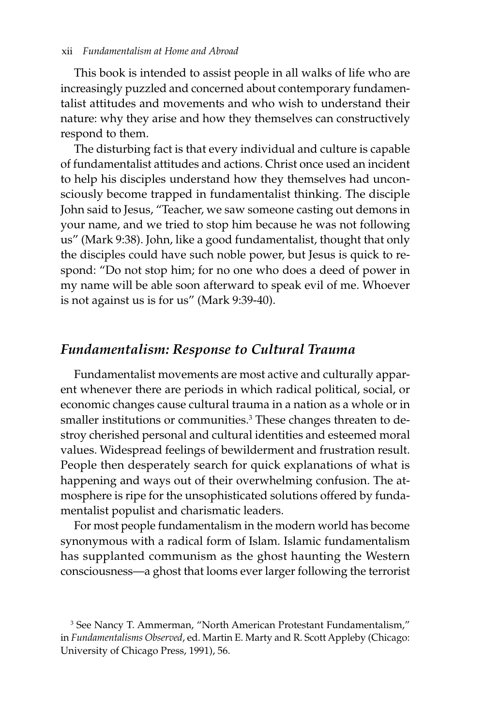This book is intended to assist people in all walks of life who are increasingly puzzled and concerned about contemporary fundamentalist attitudes and movements and who wish to understand their nature: why they arise and how they themselves can constructively respond to them.

The disturbing fact is that every individual and culture is capable of fundamentalist attitudes and actions. Christ once used an incident to help his disciples understand how they themselves had unconsciously become trapped in fundamentalist thinking. The disciple John said to Jesus, "Teacher, we saw someone casting out demons in your name, and we tried to stop him because he was not following us" (Mark 9:38). John, like a good fundamentalist, thought that only the disciples could have such noble power, but Jesus is quick to respond: "Do not stop him; for no one who does a deed of power in my name will be able soon afterward to speak evil of me. Whoever is not against us is for us" (Mark 9:39-40).

#### *Fundamentalism: Response to Cultural Trauma*

Fundamentalist movements are most active and culturally apparent whenever there are periods in which radical political, social, or economic changes cause cultural trauma in a nation as a whole or in smaller institutions or communities.<sup>3</sup> These changes threaten to destroy cherished personal and cultural identities and esteemed moral values. Widespread feelings of bewilderment and frustration result. People then desperately search for quick explanations of what is happening and ways out of their overwhelming confusion. The atmosphere is ripe for the unsophisticated solutions offered by fundamentalist populist and charismatic leaders.

For most people fundamentalism in the modern world has become synonymous with a radical form of Islam. Islamic fundamentalism has supplanted communism as the ghost haunting the Western consciousness—a ghost that looms ever larger following the terrorist

<sup>3</sup> See Nancy T. Ammerman, "North American Protestant Fundamentalism," in *Fundamentalisms Observed*, ed. Martin E. Marty and R. Scott Appleby (Chicago: University of Chicago Press, 1991), 56.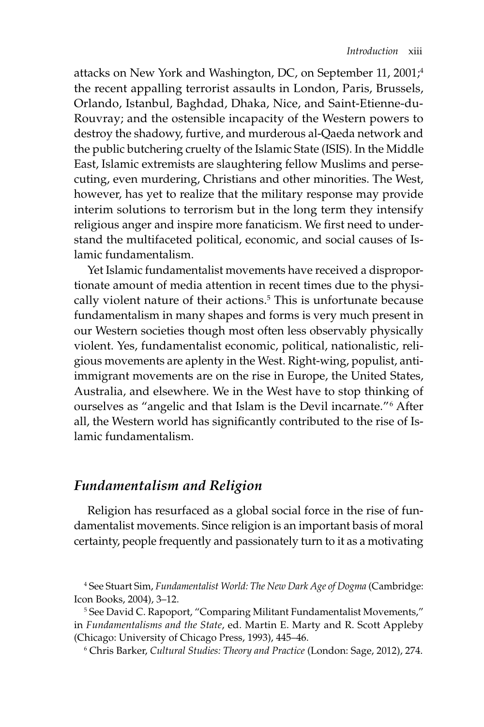attacks on New York and Washington, DC, on September 11, 2001;<sup>4</sup> the recent appalling terrorist assaults in London, Paris, Brussels, Orlando, Istanbul, Baghdad, Dhaka, Nice, and Saint-Etienne-du-Rouvray; and the ostensible incapacity of the Western powers to destroy the shadowy, furtive, and murderous al-Qaeda network and the public butchering cruelty of the Islamic State (ISIS). In the Middle East, Islamic extremists are slaughtering fellow Muslims and persecuting, even murdering, Christians and other minorities. The West, however, has yet to realize that the military response may provide interim solutions to terrorism but in the long term they intensify religious anger and inspire more fanaticism. We first need to understand the multifaceted political, economic, and social causes of Islamic fundamentalism.

Yet Islamic fundamentalist movements have received a disproportionate amount of media attention in recent times due to the physically violent nature of their actions.<sup>5</sup> This is unfortunate because fundamentalism in many shapes and forms is very much present in our Western societies though most often less observably physically violent. Yes, fundamentalist economic, political, nationalistic, religious movements are aplenty in the West. Right-wing, populist, antiimmigrant movements are on the rise in Europe, the United States, Australia, and elsewhere. We in the West have to stop thinking of ourselves as "angelic and that Islam is the Devil incarnate."<sup>6</sup> After all, the Western world has significantly contributed to the rise of Islamic fundamentalism.

#### *Fundamentalism and Religion*

Religion has resurfaced as a global social force in the rise of fundamentalist movements. Since religion is an important basis of moral certainty, people frequently and passionately turn to it as a motivating

5 See David C. Rapoport, "Comparing Militant Fundamentalist Movements," in *Fundamentalisms and the State*, ed. Martin E. Marty and R. Scott Appleby (Chicago: University of Chicago Press, 1993), 445–46.

6 Chris Barker, *Cultural Studies: Theory and Practice* (London: Sage, 2012), 274.

<sup>4</sup> See Stuart Sim, *Fundamentalist World: The New Dark Age of Dogma* (Cambridge: Icon Books, 2004), 3–12.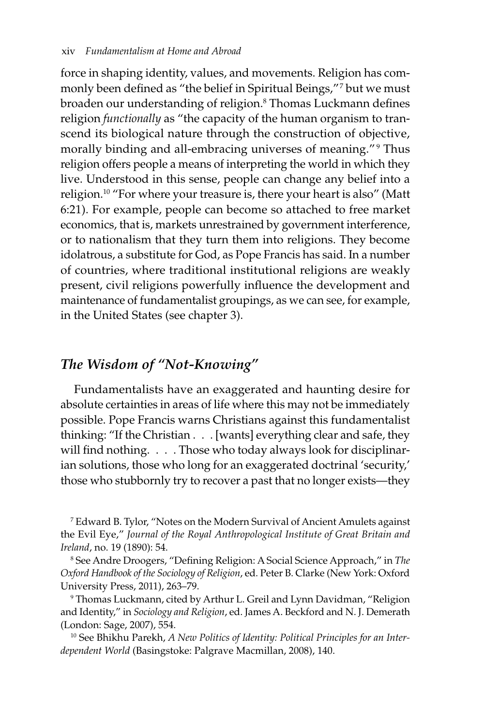force in shaping identity, values, and movements. Religion has commonly been defined as "the belief in Spiritual Beings," 7 but we must broaden our understanding of religion.<sup>8</sup> Thomas Luckmann defines religion *functionally* as "the capacity of the human organism to transcend its biological nature through the construction of objective, morally binding and all-embracing universes of meaning."<sup>9</sup> Thus religion offers people a means of interpreting the world in which they live. Understood in this sense, people can change any belief into a religion.10 "For where your treasure is, there your heart is also" (Matt 6:21). For example, people can become so attached to free market economics, that is, markets unrestrained by government interference, or to nationalism that they turn them into religions. They become idolatrous, a substitute for God, as Pope Francis has said. In a number of countries, where traditional institutional religions are weakly present, civil religions powerfully influence the development and maintenance of fundamentalist groupings, as we can see, for example, in the United States (see chapter 3).

#### *The Wisdom of "Not-Knowing"*

Fundamentalists have an exaggerated and haunting desire for absolute certainties in areas of life where this may not be immediately possible. Pope Francis warns Christians against this fundamentalist thinking: "If the Christian . . . [wants] everything clear and safe, they will find nothing. . . . Those who today always look for disciplinarian solutions, those who long for an exaggerated doctrinal 'security,' those who stubbornly try to recover a past that no longer exists—they

7 Edward B. Tylor, "Notes on the Modern Survival of Ancient Amulets against the Evil Eye," *Journal of the Royal Anthropological Institute of Great Britain and Ireland*, no. 19 (1890): 54.

8 See Andre Droogers, "Defining Religion: A Social Science Approach," in *The Oxford Handbook of the Sociology of Religion*, ed. Peter B. Clarke (New York: Oxford University Press, 2011), 263–79.

9 Thomas Luckmann, cited by Arthur L. Greil and Lynn Davidman, "Religion and Identity," in *Sociology and Religion*, ed. James A. Beckford and N. J. Demerath (London: Sage, 2007), 554.

10 See Bhikhu Parekh, *A New Politics of Identity: Political Principles for an Interdependent World* (Basingstoke: Palgrave Macmillan, 2008), 140.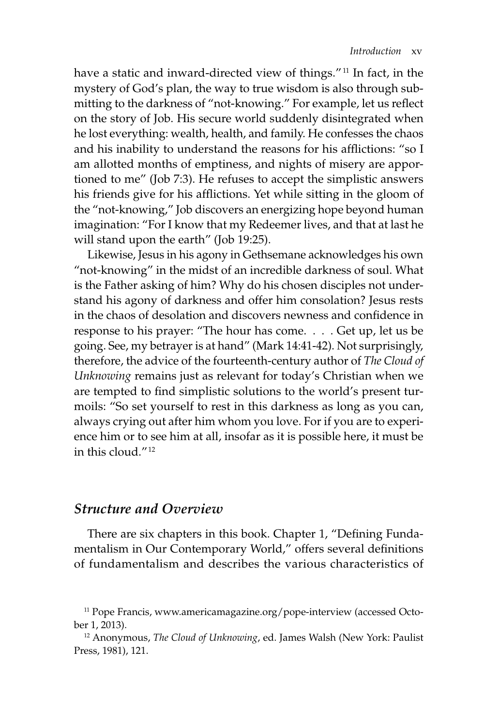have a static and inward-directed view of things."<sup>11</sup> In fact, in the mystery of God's plan, the way to true wisdom is also through submitting to the darkness of "not-knowing." For example, let us reflect on the story of Job. His secure world suddenly disintegrated when he lost everything: wealth, health, and family. He confesses the chaos and his inability to understand the reasons for his afflictions: "so I am allotted months of emptiness, and nights of misery are apportioned to me" (Job 7:3). He refuses to accept the simplistic answers his friends give for his afflictions. Yet while sitting in the gloom of the "not-knowing," Job discovers an energizing hope beyond human imagination: "For I know that my Redeemer lives, and that at last he will stand upon the earth" (Job 19:25).

Likewise, Jesus in his agony in Gethsemane acknowledges his own "not-knowing" in the midst of an incredible darkness of soul. What is the Father asking of him? Why do his chosen disciples not understand his agony of darkness and offer him consolation? Jesus rests in the chaos of desolation and discovers newness and confidence in response to his prayer: "The hour has come. . . . Get up, let us be going. See, my betrayer is at hand" (Mark 14:41-42). Not surprisingly, therefore, the advice of the fourteenth-century author of *The Cloud of Unknowing* remains just as relevant for today's Christian when we are tempted to find simplistic solutions to the world's present turmoils: "So set yourself to rest in this darkness as long as you can, always crying out after him whom you love. For if you are to experience him or to see him at all, insofar as it is possible here, it must be in this cloud." 12

#### *Structure and Overview*

There are six chapters in this book. Chapter 1, "Defining Fundamentalism in Our Contemporary World," offers several definitions of fundamentalism and describes the various characteristics of

<sup>&</sup>lt;sup>11</sup> Pope Francis, www.americamagazine.org/pope-interview (accessed October 1, 2013).

<sup>12</sup> Anonymous, *The Cloud of Unknowing*, ed. James Walsh (New York: Paulist Press, 1981), 121.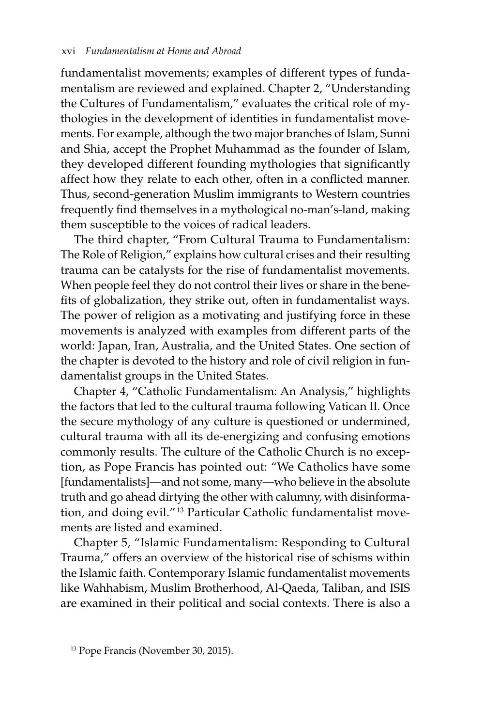fundamentalist movements; examples of different types of fundamentalism are reviewed and explained. Chapter 2, "Understanding the Cultures of Fundamentalism," evaluates the critical role of mythologies in the development of identities in fundamentalist movements. For example, although the two major branches of Islam, Sunni and Shia, accept the Prophet Muhammad as the founder of Islam, they developed different founding mythologies that significantly affect how they relate to each other, often in a conflicted manner. Thus, second-generation Muslim immigrants to Western countries frequently find themselves in a mythological no-man's-land, making them susceptible to the voices of radical leaders.

The third chapter, "From Cultural Trauma to Fundamentalism: The Role of Religion," explains how cultural crises and their resulting trauma can be catalysts for the rise of fundamentalist movements. When people feel they do not control their lives or share in the benefits of globalization, they strike out, often in fundamentalist ways. The power of religion as a motivating and justifying force in these movements is analyzed with examples from different parts of the world: Japan, Iran, Australia, and the United States. One section of the chapter is devoted to the history and role of civil religion in fundamentalist groups in the United States.

Chapter 4, "Catholic Fundamentalism: An Analysis," highlights the factors that led to the cultural trauma following Vatican II. Once the secure mythology of any culture is questioned or undermined, cultural trauma with all its de-energizing and confusing emotions commonly results. The culture of the Catholic Church is no exception, as Pope Francis has pointed out: "We Catholics have some [fundamentalists]—and not some, many—who believe in the absolute truth and go ahead dirtying the other with calumny, with disinformation, and doing evil."<sup>13</sup> Particular Catholic fundamentalist movements are listed and examined.

Chapter 5, "Islamic Fundamentalism: Responding to Cultural Trauma," offers an overview of the historical rise of schisms within the Islamic faith. Contemporary Islamic fundamentalist movements like Wahhabism, Muslim Brotherhood, Al-Qaeda, Taliban, and ISIS are examined in their political and social contexts. There is also a

<sup>13</sup> Pope Francis (November 30, 2015).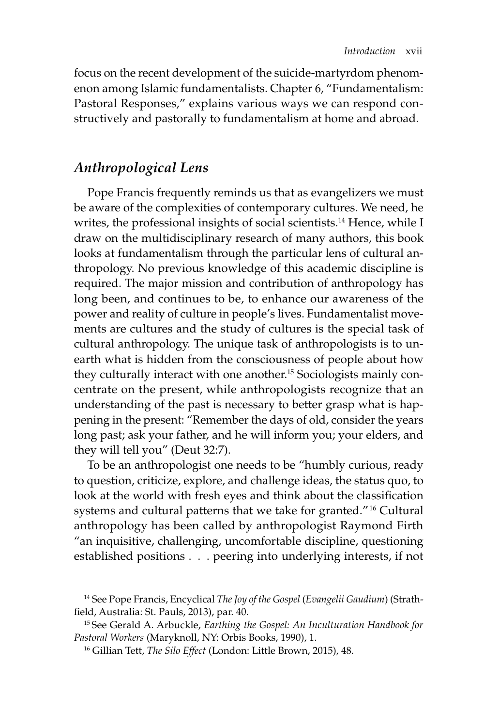focus on the recent development of the suicide-martyrdom phenomenon among Islamic fundamentalists. Chapter 6, "Fundamentalism: Pastoral Responses," explains various ways we can respond constructively and pastorally to fundamentalism at home and abroad.

### *Anthropological Lens*

Pope Francis frequently reminds us that as evangelizers we must be aware of the complexities of contemporary cultures. We need, he writes, the professional insights of social scientists.<sup>14</sup> Hence, while I draw on the multidisciplinary research of many authors, this book looks at fundamentalism through the particular lens of cultural anthropology. No previous knowledge of this academic discipline is required. The major mission and contribution of anthropology has long been, and continues to be, to enhance our awareness of the power and reality of culture in people's lives. Fundamentalist movements are cultures and the study of cultures is the special task of cultural anthropology. The unique task of anthropologists is to unearth what is hidden from the consciousness of people about how they culturally interact with one another.<sup>15</sup> Sociologists mainly concentrate on the present, while anthropologists recognize that an understanding of the past is necessary to better grasp what is happening in the present: "Remember the days of old, consider the years long past; ask your father, and he will inform you; your elders, and they will tell you" (Deut 32:7).

To be an anthropologist one needs to be "humbly curious, ready to question, criticize, explore, and challenge ideas, the status quo, to look at the world with fresh eyes and think about the classification systems and cultural patterns that we take for granted."<sup>16</sup> Cultural anthropology has been called by anthropologist Raymond Firth "an inquisitive, challenging, uncomfortable discipline, questioning established positions . . . peering into underlying interests, if not

<sup>14</sup> See Pope Francis, Encyclical *The Joy of the Gospel* (*Evangelii Gaudium*) (Strathfield, Australia: St. Pauls, 2013), par. 40.

<sup>15</sup> See Gerald A. Arbuckle, *Earthing the Gospel: An Inculturation Handbook for Pastoral Workers* (Maryknoll, NY: Orbis Books, 1990), 1.

<sup>16</sup> Gillian Tett, *The Silo Effect* (London: Little Brown, 2015), 48.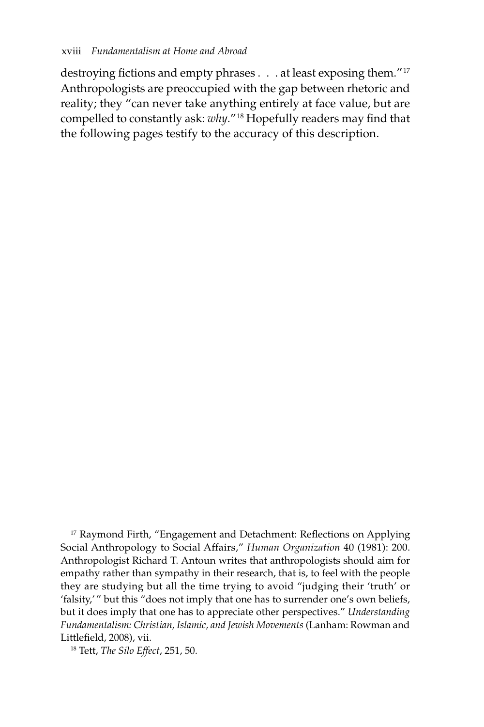destroying fictions and empty phrases . . . at least exposing them."<sup>17</sup> Anthropologists are preoccupied with the gap between rhetoric and reality; they "can never take anything entirely at face value, but are compelled to constantly ask: *why*." 18 Hopefully readers may find that the following pages testify to the accuracy of this description.

<sup>17</sup> Raymond Firth, "Engagement and Detachment: Reflections on Applying Social Anthropology to Social Affairs," *Human Organization* 40 (1981): 200. Anthropologist Richard T. Antoun writes that anthropologists should aim for empathy rather than sympathy in their research, that is, to feel with the people they are studying but all the time trying to avoid "judging their 'truth' or 'falsity,'" but this "does not imply that one has to surrender one's own beliefs, but it does imply that one has to appreciate other perspectives." *Understanding Fundamentalism: Christian, Islamic, and Jewish Movements* (Lanham: Rowman and Littlefield, 2008), vii.

18 Tett, *The Silo Effect*, 251, 50.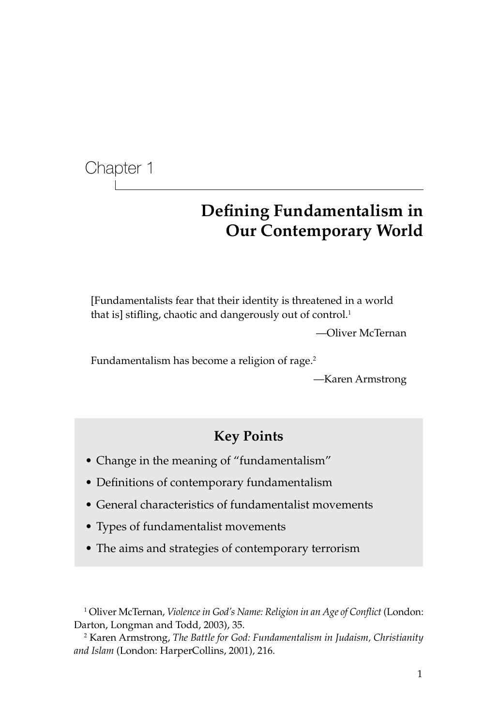Chapter 1

# **Defining Fundamentalism in Our Contemporary World**

[Fundamentalists fear that their identity is threatened in a world that is] stifling, chaotic and dangerously out of control.<sup>1</sup>

—Oliver McTernan

Fundamentalism has become a religion of rage.<sup>2</sup>

—Karen Armstrong

## **Key Points**

- Change in the meaning of "fundamentalism"
- Definitions of contemporary fundamentalism
- General characteristics of fundamentalist movements
- Types of fundamentalist movements
- The aims and strategies of contemporary terrorism

1 Oliver McTernan, *Violence in God's Name: Religion in an Age of Conflict* (London: Darton, Longman and Todd, 2003), 35.

2 Karen Armstrong, *The Battle for God: Fundamentalism in Judaism, Christianity and Islam* (London: HarperCollins, 2001), 216.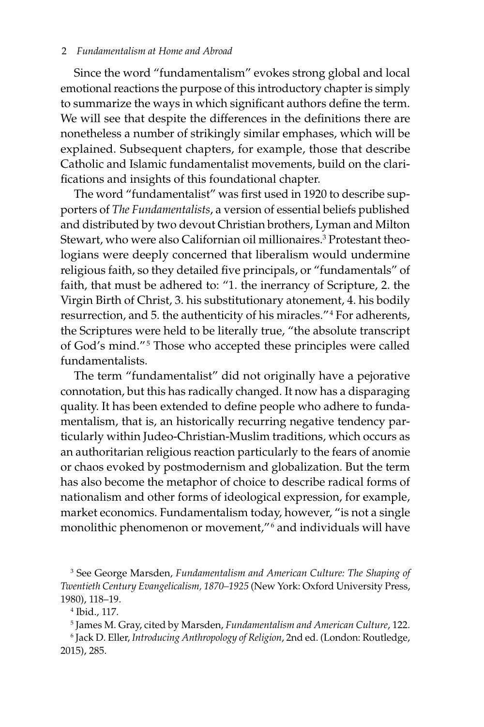#### 2 *Fundamentalism at Home and Abroad*

Since the word "fundamentalism" evokes strong global and local emotional reactions the purpose of this introductory chapter is simply to summarize the ways in which significant authors define the term. We will see that despite the differences in the definitions there are nonetheless a number of strikingly similar emphases, which will be explained. Subsequent chapters, for example, those that describe Catholic and Islamic fundamentalist movements, build on the clarifications and insights of this foundational chapter.

The word "fundamentalist" was first used in 1920 to describe supporters of *The Fundamentalists*, a version of essential beliefs published and distributed by two devout Christian brothers, Lyman and Milton Stewart, who were also Californian oil millionaires.3 Protestant theologians were deeply concerned that liberalism would undermine religious faith, so they detailed five principals, or "fundamentals" of faith, that must be adhered to: "1. the inerrancy of Scripture, 2. the Virgin Birth of Christ, 3. his substitutionary atonement, 4. his bodily resurrection, and 5. the authenticity of his miracles." 4 For adherents, the Scriptures were held to be literally true, "the absolute transcript of God's mind."<sup>5</sup> Those who accepted these principles were called fundamentalists.

The term "fundamentalist" did not originally have a pejorative connotation, but this has radically changed. It now has a disparaging quality. It has been extended to define people who adhere to fundamentalism, that is, an historically recurring negative tendency particularly within Judeo-Christian-Muslim traditions, which occurs as an authoritarian religious reaction particularly to the fears of anomie or chaos evoked by postmodernism and globalization. But the term has also become the metaphor of choice to describe radical forms of nationalism and other forms of ideological expression, for example, market economics. Fundamentalism today, however, "is not a single monolithic phenomenon or movement," 6 and individuals will have

5 James M. Gray, cited by Marsden, *Fundamentalism and American Culture*, 122.

6 Jack D. Eller, *Introducing Anthropology of Religion*, 2nd ed. (London: Routledge, 2015), 285.

<sup>3</sup> See George Marsden, *Fundamentalism and American Culture: The Shaping of Twentieth Century Evangelicalism, 1870–1925* (New York: Oxford University Press, 1980), 118–19.

<sup>4</sup> Ibid., 117.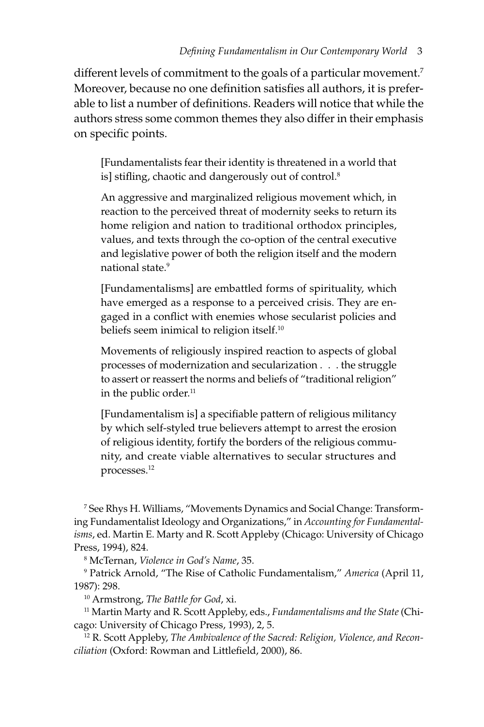different levels of commitment to the goals of a particular movement.<sup>7</sup> Moreover, because no one definition satisfies all authors, it is preferable to list a number of definitions. Readers will notice that while the authors stress some common themes they also differ in their emphasis on specific points.

[Fundamentalists fear their identity is threatened in a world that is] stifling, chaotic and dangerously out of control.<sup>8</sup>

An aggressive and marginalized religious movement which, in reaction to the perceived threat of modernity seeks to return its home religion and nation to traditional orthodox principles, values, and texts through the co-option of the central executive and legislative power of both the religion itself and the modern national state.9

[Fundamentalisms] are embattled forms of spirituality, which have emerged as a response to a perceived crisis. They are engaged in a conflict with enemies whose secularist policies and beliefs seem inimical to religion itself.<sup>10</sup>

Movements of religiously inspired reaction to aspects of global processes of modernization and secularization . . . the struggle to assert or reassert the norms and beliefs of "traditional religion" in the public order.<sup>11</sup>

[Fundamentalism is] a specifiable pattern of religious militancy by which self-styled true believers attempt to arrest the erosion of religious identity, fortify the borders of the religious community, and create viable alternatives to secular structures and processes.12

7 See Rhys H. Williams, "Movements Dynamics and Social Change: Transforming Fundamentalist Ideology and Organizations," in *Accounting for Fundamentalisms*, ed. Martin E. Marty and R. Scott Appleby (Chicago: University of Chicago Press, 1994), 824.

8 McTernan, *Violence in God's Name*, 35.

9 Patrick Arnold, "The Rise of Catholic Fundamentalism," *America* (April 11, 1987): 298.

10 Armstrong, *The Battle for God*, xi.

11 Martin Marty and R. Scott Appleby, eds., *Fundamentalisms and the State* (Chicago: University of Chicago Press, 1993), 2, 5.

12 R. Scott Appleby, *The Ambivalence of the Sacred: Religion, Violence, and Reconciliation* (Oxford: Rowman and Littlefield, 2000), 86.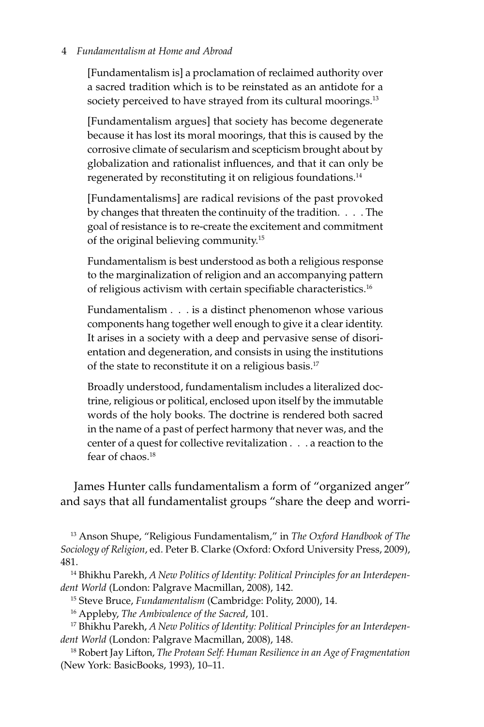#### 4 *Fundamentalism at Home and Abroad*

[Fundamentalism is] a proclamation of reclaimed authority over a sacred tradition which is to be reinstated as an antidote for a society perceived to have strayed from its cultural moorings.<sup>13</sup>

[Fundamentalism argues] that society has become degenerate because it has lost its moral moorings, that this is caused by the corrosive climate of secularism and scepticism brought about by globalization and rationalist influences, and that it can only be regenerated by reconstituting it on religious foundations.14

[Fundamentalisms] are radical revisions of the past provoked by changes that threaten the continuity of the tradition. . . . The goal of resistance is to re-create the excitement and commitment of the original believing community.15

Fundamentalism is best understood as both a religious response to the marginalization of religion and an accompanying pattern of religious activism with certain specifiable characteristics.<sup>16</sup>

Fundamentalism . . . is a distinct phenomenon whose various components hang together well enough to give it a clear identity. It arises in a society with a deep and pervasive sense of disorientation and degeneration, and consists in using the institutions of the state to reconstitute it on a religious basis.<sup>17</sup>

Broadly understood, fundamentalism includes a literalized doctrine, religious or political, enclosed upon itself by the immutable words of the holy books. The doctrine is rendered both sacred in the name of a past of perfect harmony that never was, and the center of a quest for collective revitalization . . . a reaction to the fear of chaos.<sup>18</sup>

James Hunter calls fundamentalism a form of "organized anger" and says that all fundamentalist groups "share the deep and worri-

13 Anson Shupe, "Religious Fundamentalism," in *The Oxford Handbook of The Sociology of Religion*, ed. Peter B. Clarke (Oxford: Oxford University Press, 2009), 481.

14 Bhikhu Parekh, *A New Politics of Identity: Political Principles for an Interdependent World* (London: Palgrave Macmillan, 2008), 142.

15 Steve Bruce, *Fundamentalism* (Cambridge: Polity, 2000), 14.

16 Appleby, *The Ambivalence of the Sacred*, 101.

17 Bhikhu Parekh, *A New Politics of Identity: Political Principles for an Interdependent World* (London: Palgrave Macmillan, 2008), 148.

18 Robert Jay Lifton, *The Protean Self: Human Resilience in an Age of Fragmentation* (New York: BasicBooks, 1993), 10–11.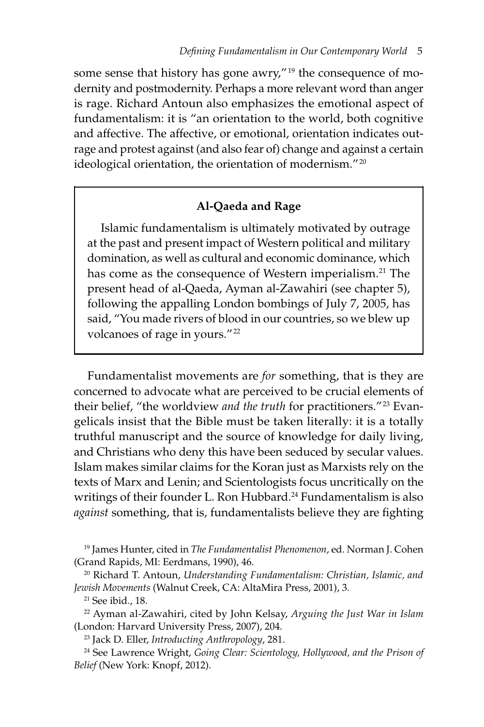some sense that history has gone awry,"<sup>19</sup> the consequence of modernity and postmodernity. Perhaps a more relevant word than anger is rage. Richard Antoun also emphasizes the emotional aspect of fundamentalism: it is "an orientation to the world, both cognitive and affective. The affective, or emotional, orientation indicates outrage and protest against (and also fear of) change and against a certain ideological orientation, the orientation of modernism." 20

#### **Al-Qaeda and Rage**

Islamic fundamentalism is ultimately motivated by outrage at the past and present impact of Western political and military domination, as well as cultural and economic dominance, which has come as the consequence of Western imperialism.<sup>21</sup> The present head of al-Qaeda, Ayman al-Zawahiri (see chapter 5), following the appalling London bombings of July 7, 2005, has said, "You made rivers of blood in our countries, so we blew up volcanoes of rage in yours." 22

Fundamentalist movements are *for* something, that is they are concerned to advocate what are perceived to be crucial elements of their belief, "the worldview *and the truth* for practitioners."<sup>23</sup> Evangelicals insist that the Bible must be taken literally: it is a totally truthful manuscript and the source of knowledge for daily living, and Christians who deny this have been seduced by secular values. Islam makes similar claims for the Koran just as Marxists rely on the texts of Marx and Lenin; and Scientologists focus uncritically on the writings of their founder L. Ron Hubbard.<sup>24</sup> Fundamentalism is also *against* something, that is, fundamentalists believe they are fighting

19 James Hunter, cited in *The Fundamentalist Phenomenon*, ed. Norman J. Cohen (Grand Rapids, MI: Eerdmans, 1990), 46.

20 Richard T. Antoun, *Understanding Fundamentalism: Christian, Islamic, and Jewish Movements* (Walnut Creek, CA: AltaMira Press, 2001), 3.

21 See ibid., 18.

22 Ayman al-Zawahiri, cited by John Kelsay, *Arguing the Just War in Islam* (London: Harvard University Press, 2007), 204.

23 Jack D. Eller, *Introducting Anthropology*, 281.

24 See Lawrence Wright, *Going Clear: Scientology, Hollywood, and the Prison of Belief* (New York: Knopf, 2012).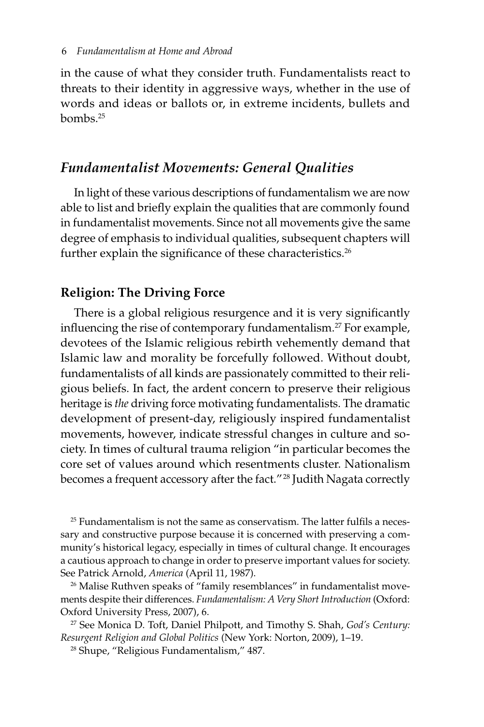in the cause of what they consider truth. Fundamentalists react to threats to their identity in aggressive ways, whether in the use of words and ideas or ballots or, in extreme incidents, bullets and bombs.25

#### *Fundamentalist Movements: General Qualities*

In light of these various descriptions of fundamentalism we are now able to list and briefly explain the qualities that are commonly found in fundamentalist movements. Since not all movements give the same degree of emphasis to individual qualities, subsequent chapters will further explain the significance of these characteristics.<sup>26</sup>

#### **Religion: The Driving Force**

There is a global religious resurgence and it is very significantly influencing the rise of contemporary fundamentalism.<sup>27</sup> For example, devotees of the Islamic religious rebirth vehemently demand that Islamic law and morality be forcefully followed. Without doubt, fundamentalists of all kinds are passionately committed to their religious beliefs. In fact, the ardent concern to preserve their religious heritage is *the* driving force motivating fundamentalists. The dramatic development of present-day, religiously inspired fundamentalist movements, however, indicate stressful changes in culture and society. In times of cultural trauma religion "in particular becomes the core set of values around which resentments cluster. Nationalism becomes a frequent accessory after the fact." 28 Judith Nagata correctly

 $25$  Fundamentalism is not the same as conservatism. The latter fulfils a necessary and constructive purpose because it is concerned with preserving a community's historical legacy, especially in times of cultural change. It encourages a cautious approach to change in order to preserve important values for society. See Patrick Arnold, *America* (April 11, 1987).

<sup>26</sup> Malise Ruthven speaks of "family resemblances" in fundamentalist movements despite their differences. *Fundamentalism: A Very Short Introduction* (Oxford: Oxford University Press, 2007), 6.

27 See Monica D. Toft, Daniel Philpott, and Timothy S. Shah, *God's Century: Resurgent Religion and Global Politics* (New York: Norton, 2009), 1–19.

28 Shupe, "Religious Fundamentalism," 487.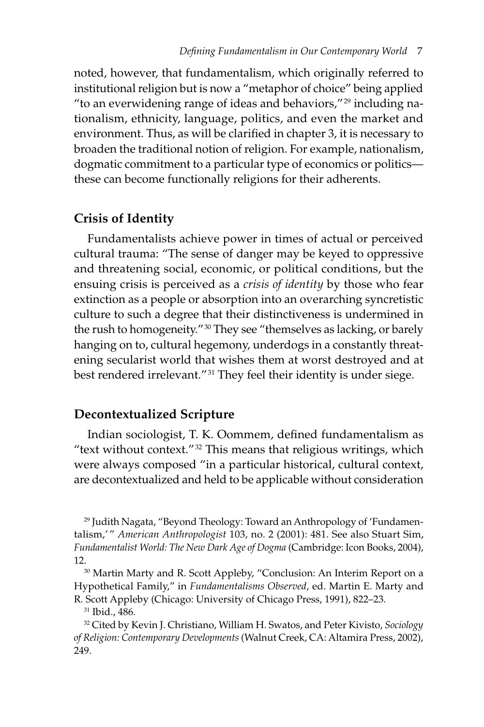noted, however, that fundamentalism, which originally referred to institutional religion but is now a "metaphor of choice" being applied "to an everwidening range of ideas and behaviors," $^{29}$  including nationalism, ethnicity, language, politics, and even the market and environment. Thus, as will be clarified in chapter 3, it is necessary to broaden the traditional notion of religion. For example, nationalism, dogmatic commitment to a particular type of economics or politics these can become functionally religions for their adherents.

#### **Crisis of Identity**

Fundamentalists achieve power in times of actual or perceived cultural trauma: "The sense of danger may be keyed to oppressive and threatening social, economic, or political conditions, but the ensuing crisis is perceived as a *crisis of identity* by those who fear extinction as a people or absorption into an overarching syncretistic culture to such a degree that their distinctiveness is undermined in the rush to homogeneity."<sup>30</sup> They see "themselves as lacking, or barely hanging on to, cultural hegemony, underdogs in a constantly threatening secularist world that wishes them at worst destroyed and at best rendered irrelevant." 31 They feel their identity is under siege.

#### **Decontextualized Scripture**

Indian sociologist, T. K. Oommem, defined fundamentalism as "text without context." $32$  This means that religious writings, which were always composed "in a particular historical, cultural context, are decontextualized and held to be applicable without consideration

29 Judith Nagata, "Beyond Theology: Toward an Anthropology of 'Fundamentalism,' " *American Anthropologist* 103, no. 2 (2001): 481. See also Stuart Sim, *Fundamentalist World: The New Dark Age of Dogma* (Cambridge: Icon Books, 2004), 12.<br><sup>30</sup> Martin Marty and R. Scott Appleby, "Conclusion: An Interim Report on a

Hypothetical Family," in *Fundamentalisms Observed*, ed. Martin E. Marty and R. Scott Appleby (Chicago: University of Chicago Press, 1991), 822–23.

31 Ibid., 486.

32 Cited by Kevin J. Christiano, William H. Swatos, and Peter Kivisto, *Sociology of Religion: Contemporary Developments* (Walnut Creek, CA: Altamira Press, 2002), 249.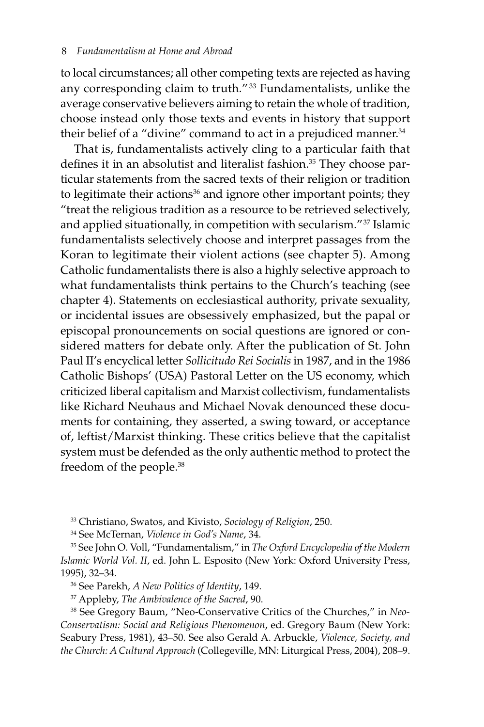to local circumstances; all other competing texts are rejected as having any corresponding claim to truth." 33 Fundamentalists, unlike the average conservative believers aiming to retain the whole of tradition, choose instead only those texts and events in history that support their belief of a "divine" command to act in a prejudiced manner.<sup>34</sup>

That is, fundamentalists actively cling to a particular faith that defines it in an absolutist and literalist fashion.<sup>35</sup> They choose particular statements from the sacred texts of their religion or tradition to legitimate their actions<sup>36</sup> and ignore other important points; they "treat the religious tradition as a resource to be retrieved selectively, and applied situationally, in competition with secularism." 37 Islamic fundamentalists selectively choose and interpret passages from the Koran to legitimate their violent actions (see chapter 5). Among Catholic fundamentalists there is also a highly selective approach to what fundamentalists think pertains to the Church's teaching (see chapter 4). Statements on ecclesiastical authority, private sexuality, or incidental issues are obsessively emphasized, but the papal or episcopal pronouncements on social questions are ignored or considered matters for debate only. After the publication of St. John Paul II's encyclical letter *Sollicitudo Rei Socialis* in 1987, and in the 1986 Catholic Bishops' (USA) Pastoral Letter on the US economy, which criticized liberal capitalism and Marxist collectivism, fundamentalists like Richard Neuhaus and Michael Novak denounced these documents for containing, they asserted, a swing toward, or acceptance of, leftist/Marxist thinking. These critics believe that the capitalist system must be defended as the only authentic method to protect the freedom of the people.38

33 Christiano, Swatos, and Kivisto, *Sociology of Religion*, 250.

34 See McTernan, *Violence in God's Name*, 34.

35 See John O. Voll, "Fundamentalism," in *The Oxford Encyclopedia of the Modern Islamic World Vol. II*, ed. John L. Esposito (New York: Oxford University Press, 1995), 32–34.

36 See Parekh, *A New Politics of Identity*, 149.

37 Appleby, *The Ambivalence of the Sacred*, 90.

38 See Gregory Baum, "Neo-Conservative Critics of the Churches," in *Neo-Conservatism: Social and Religious Phenomenon*, ed. Gregory Baum (New York: Seabury Press, 1981), 43–50. See also Gerald A. Arbuckle, *Violence, Society, and the Church: A Cultural Approach* (Collegeville, MN: Liturgical Press, 2004), 208–9.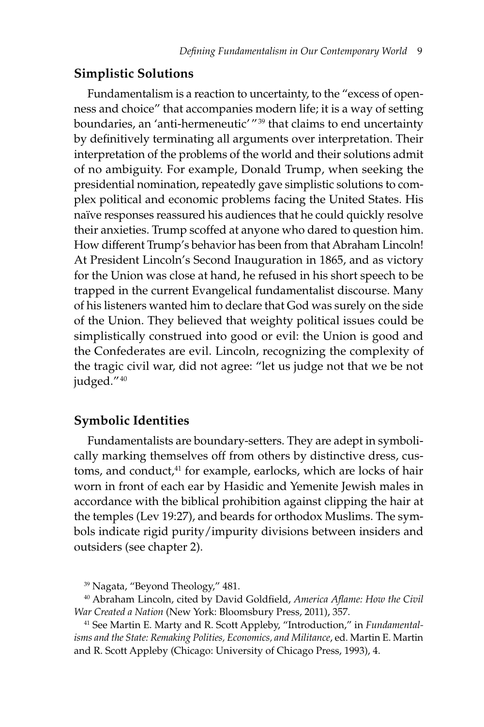#### **Simplistic Solutions**

Fundamentalism is a reaction to uncertainty, to the "excess of openness and choice" that accompanies modern life; it is a way of setting boundaries, an 'anti-hermeneutic' "<sup>39</sup> that claims to end uncertainty by definitively terminating all arguments over interpretation. Their interpretation of the problems of the world and their solutions admit of no ambiguity. For example, Donald Trump, when seeking the presidential nomination, repeatedly gave simplistic solutions to complex political and economic problems facing the United States. His naïve responses reassured his audiences that he could quickly resolve their anxieties. Trump scoffed at anyone who dared to question him. How different Trump's behavior has been from that Abraham Lincoln! At President Lincoln's Second Inauguration in 1865, and as victory for the Union was close at hand, he refused in his short speech to be trapped in the current Evangelical fundamentalist discourse. Many of his listeners wanted him to declare that God was surely on the side of the Union. They believed that weighty political issues could be simplistically construed into good or evil: the Union is good and the Confederates are evil. Lincoln, recognizing the complexity of the tragic civil war, did not agree: "let us judge not that we be not judged." 40

#### **Symbolic Identities**

Fundamentalists are boundary-setters. They are adept in symbolically marking themselves off from others by distinctive dress, customs, and conduct,<sup>41</sup> for example, earlocks, which are locks of hair worn in front of each ear by Hasidic and Yemenite Jewish males in accordance with the biblical prohibition against clipping the hair at the temples (Lev 19:27), and beards for orthodox Muslims. The symbols indicate rigid purity/impurity divisions between insiders and outsiders (see chapter 2).

39 Nagata, "Beyond Theology," 481.

40 Abraham Lincoln, cited by David Goldfield, *America Aflame: How the Civil War Created a Nation* (New York: Bloomsbury Press, 2011), 357.

41 See Martin E. Marty and R. Scott Appleby, "Introduction," in *Fundamentalisms and the State: Remaking Polities, Economics, and Militance*, ed. Martin E. Martin and R. Scott Appleby (Chicago: University of Chicago Press, 1993), 4.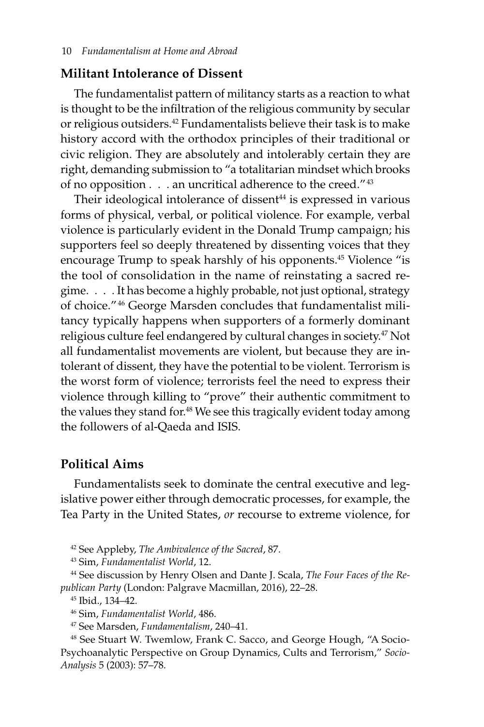#### **Militant Intolerance of Dissent**

The fundamentalist pattern of militancy starts as a reaction to what is thought to be the infiltration of the religious community by secular or religious outsiders.42 Fundamentalists believe their task is to make history accord with the orthodox principles of their traditional or civic religion. They are absolutely and intolerably certain they are right, demanding submission to "a totalitarian mindset which brooks of no opposition . . . an uncritical adherence to the creed."<sup>43</sup>

Their ideological intolerance of dissent<sup>44</sup> is expressed in various forms of physical, verbal, or political violence. For example, verbal violence is particularly evident in the Donald Trump campaign; his supporters feel so deeply threatened by dissenting voices that they encourage Trump to speak harshly of his opponents.<sup>45</sup> Violence "is the tool of consolidation in the name of reinstating a sacred regime. . . . It has become a highly probable, not just optional, strategy of choice." 46 George Marsden concludes that fundamentalist militancy typically happens when supporters of a formerly dominant religious culture feel endangered by cultural changes in society.<sup>47</sup> Not all fundamentalist movements are violent, but because they are intolerant of dissent, they have the potential to be violent. Terrorism is the worst form of violence; terrorists feel the need to express their violence through killing to "prove" their authentic commitment to the values they stand for.<sup>48</sup> We see this tragically evident today among the followers of al-Qaeda and ISIS.

#### **Political Aims**

Fundamentalists seek to dominate the central executive and legislative power either through democratic processes, for example, the Tea Party in the United States, *or* recourse to extreme violence, for

42 See Appleby, *The Ambivalence of the Sacred*, 87.

43 Sim, *Fundamentalist World*, 12.

44 See discussion by Henry Olsen and Dante J. Scala, *The Four Faces of the Republican Party* (London: Palgrave Macmillan, 2016), 22–28.

45 Ibid., 134–42.

46 Sim, *Fundamentalist World*, 486.

47 See Marsden, *Fundamentalism*, 240–41.

48 See Stuart W. Twemlow, Frank C. Sacco, and George Hough, "A Socio--Psychoanalytic Perspective on Group Dynamics, Cults and Terrorism," *Socio-Analysis* 5 (2003): 57–78.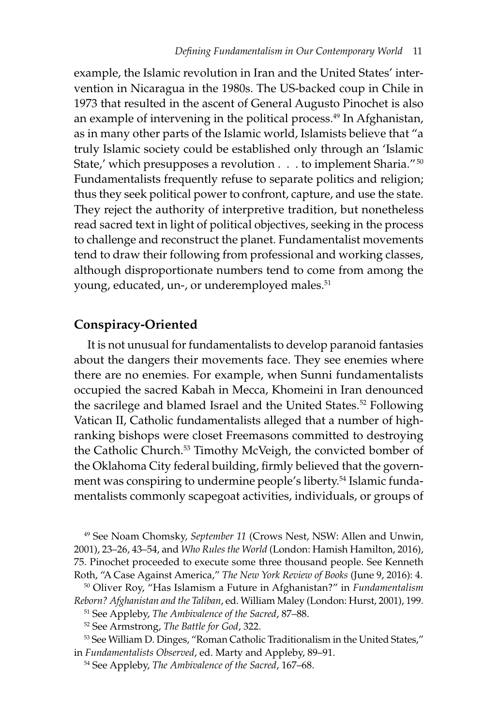example, the Islamic revolution in Iran and the United States' intervention in Nicaragua in the 1980s. The US-backed coup in Chile in 1973 that resulted in the ascent of General Augusto Pinochet is also an example of intervening in the political process.<sup>49</sup> In Afghanistan, as in many other parts of the Islamic world, Islamists believe that "a truly Islamic society could be established only through an 'Islamic State,' which presupposes a revolution .  $\dots$  to implement Sharia." $^{50}$ Fundamentalists frequently refuse to separate politics and religion; thus they seek political power to confront, capture, and use the state. They reject the authority of interpretive tradition, but nonetheless read sacred text in light of political objectives, seeking in the process to challenge and reconstruct the planet. Fundamentalist movements tend to draw their following from professional and working classes, although disproportionate numbers tend to come from among the young, educated, un-, or underemployed males.<sup>51</sup>

#### **Conspiracy-Oriented**

It is not unusual for fundamentalists to develop paranoid fantasies about the dangers their movements face. They see enemies where there are no enemies. For example, when Sunni fundamentalists occupied the sacred Kabah in Mecca, Khomeini in Iran denounced the sacrilege and blamed Israel and the United States.<sup>52</sup> Following Vatican II, Catholic fundamentalists alleged that a number of highranking bishops were closet Freemasons committed to destroying the Catholic Church.<sup>53</sup> Timothy McVeigh, the convicted bomber of the Oklahoma City federal building, firmly believed that the government was conspiring to undermine people's liberty.<sup>54</sup> Islamic fundamentalists commonly scapegoat activities, individuals, or groups of

49 See Noam Chomsky, *September 11* (Crows Nest, NSW: Allen and Unwin, 2001), 23–26, 43–54, and *Who Rules the World* (London: Hamish Hamilton, 2016), 75. Pinochet proceeded to execute some three thousand people. See Kenneth Roth, "A Case Against America," *The New York Review of Books* (June 9, 2016): 4.

50 Oliver Roy, "Has Islamism a Future in Afghanistan?" in *Fundamentalism Reborn? Afghanistan and the Taliban*, ed. William Maley (London: Hurst, 2001), 199.

51 See Appleby, *The Ambivalence of the Sacred*, 87–88.

52 See Armstrong, *The Battle for God*, 322.

53 See William D. Dinges, "Roman Catholic Traditionalism in the United States," in *Fundamentalists Observed*, ed. Marty and Appleby, 89–91.

54 See Appleby, *The Ambivalence of the Sacred*, 167–68.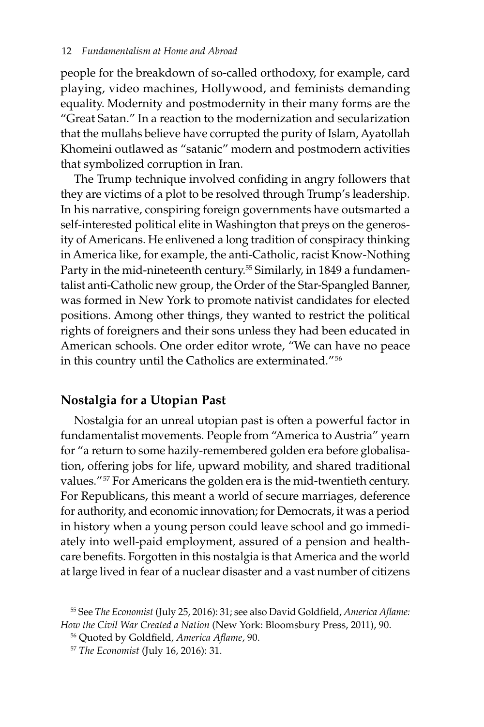people for the breakdown of so-called orthodoxy, for example, card playing, video machines, Hollywood, and feminists demanding equality. Modernity and postmodernity in their many forms are the "Great Satan." In a reaction to the modernization and secularization that the mullahs believe have corrupted the purity of Islam, Ayatollah Khomeini outlawed as "satanic" modern and postmodern activities that symbolized corruption in Iran.

The Trump technique involved confiding in angry followers that they are victims of a plot to be resolved through Trump's leadership. In his narrative, conspiring foreign governments have outsmarted a self-interested political elite in Washington that preys on the generosity of Americans. He enlivened a long tradition of conspiracy thinking in America like, for example, the anti-Catholic, racist Know-Nothing Party in the mid-nineteenth century.<sup>55</sup> Similarly, in 1849 a fundamentalist anti-Catholic new group, the Order of the Star-Spangled Banner, was formed in New York to promote nativist candidates for elected positions. Among other things, they wanted to restrict the political rights of foreigners and their sons unless they had been educated in American schools. One order editor wrote, "We can have no peace in this country until the Catholics are exterminated." 56

#### **Nostalgia for a Utopian Past**

Nostalgia for an unreal utopian past is often a powerful factor in fundamentalist movements. People from "America to Austria" yearn for "a return to some hazily-remembered golden era before globalisation, offering jobs for life, upward mobility, and shared traditional values." 57 For Americans the golden era is the mid-twentieth century. For Republicans, this meant a world of secure marriages, deference for authority, and economic innovation; for Democrats, it was a period in history when a young person could leave school and go immediately into well-paid employment, assured of a pension and healthcare benefits. Forgotten in this nostalgia is that America and the world at large lived in fear of a nuclear disaster and a vast number of citizens

<sup>55</sup> See *The Economist* (July 25, 2016): 31; see also David Goldfield, *America Aflame: How the Civil War Created a Nation* (New York: Bloomsbury Press, 2011), 90.

<sup>56</sup> Quoted by Goldfield, *America Aflame*, 90.

<sup>57</sup> *The Economist* (July 16, 2016): 31.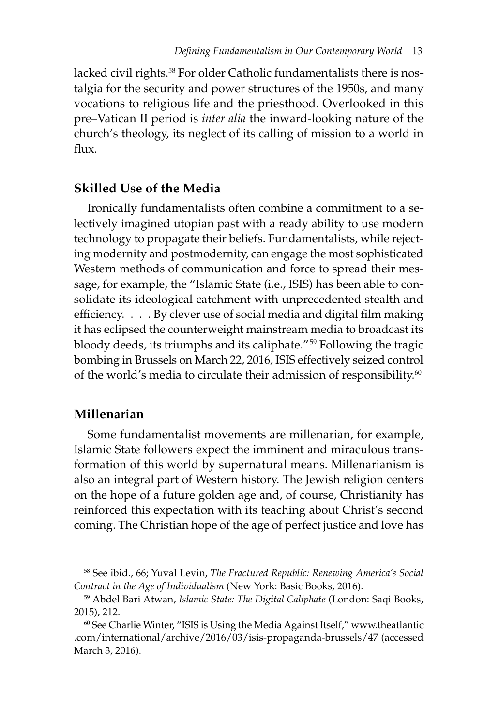lacked civil rights.<sup>58</sup> For older Catholic fundamentalists there is nostalgia for the security and power structures of the 1950s, and many vocations to religious life and the priesthood. Overlooked in this pre–Vatican II period is *inter alia* the inward-looking nature of the church's theology, its neglect of its calling of mission to a world in  $f$  $\ln x$ 

#### **Skilled Use of the Media**

Ironically fundamentalists often combine a commitment to a selectively imagined utopian past with a ready ability to use modern technology to propagate their beliefs. Fundamentalists, while rejecting modernity and postmodernity, can engage the most sophisticated Western methods of communication and force to spread their message, for example, the "Islamic State (i.e., ISIS) has been able to consolidate its ideological catchment with unprecedented stealth and efficiency. . . . By clever use of social media and digital film making it has eclipsed the counterweight mainstream media to broadcast its bloody deeds, its triumphs and its caliphate." 59 Following the tragic bombing in Brussels on March 22, 2016, ISIS effectively seized control of the world's media to circulate their admission of responsibility.<sup>60</sup>

#### **Millenarian**

Some fundamentalist movements are millenarian, for example, Islamic State followers expect the imminent and miraculous transformation of this world by supernatural means. Millenarianism is also an integral part of Western history. The Jewish religion centers on the hope of a future golden age and, of course, Christianity has reinforced this expectation with its teaching about Christ's second coming. The Christian hope of the age of perfect justice and love has

<sup>58</sup> See ibid., 66; Yuval Levin, *The Fractured Republic: Renewing America's Social Contract in the Age of Individualism* (New York: Basic Books, 2016).

<sup>59</sup> Abdel Bari Atwan, *Islamic State: The Digital Caliphate* (London: Saqi Books, 2015), 212.

 $60$  See Charlie Winter, "ISIS is Using the Media Against Itself," www.theatlantic .com/international/archive/2016/03/isis-propaganda-brussels/47 (accessed March 3, 2016).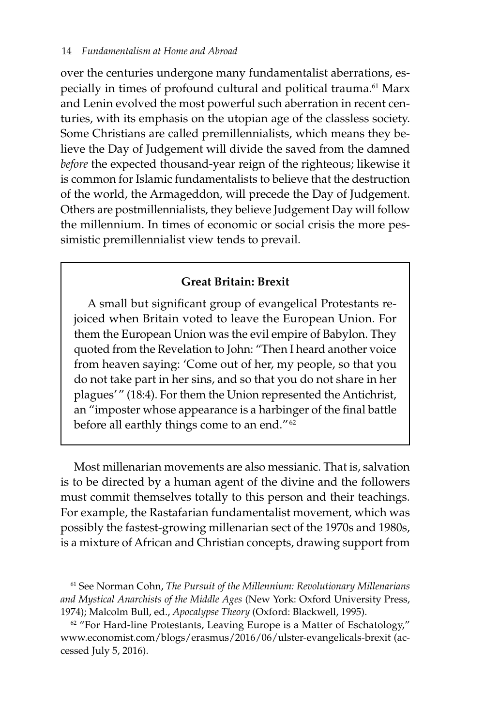over the centuries undergone many fundamentalist aberrations, especially in times of profound cultural and political trauma.<sup>61</sup> Marx and Lenin evolved the most powerful such aberration in recent centuries, with its emphasis on the utopian age of the classless society. Some Christians are called premillennialists, which means they believe the Day of Judgement will divide the saved from the damned *before* the expected thousand-year reign of the righteous; likewise it is common for Islamic fundamentalists to believe that the destruction of the world, the Armageddon, will precede the Day of Judgement. Others are postmillennialists, they believe Judgement Day will follow the millennium. In times of economic or social crisis the more pessimistic premillennialist view tends to prevail.

#### **Great Britain: Brexit**

A small but significant group of evangelical Protestants rejoiced when Britain voted to leave the European Union. For them the European Union was the evil empire of Babylon. They quoted from the Revelation to John: "Then I heard another voice from heaven saying: 'Come out of her, my people, so that you do not take part in her sins, and so that you do not share in her plagues'" (18:4). For them the Union represented the Antichrist, an "imposter whose appearance is a harbinger of the final battle before all earthly things come to an end."<sup>62</sup>

Most millenarian movements are also messianic. That is, salvation is to be directed by a human agent of the divine and the followers must commit themselves totally to this person and their teachings. For example, the Rastafarian fundamentalist movement, which was possibly the fastest-growing millenarian sect of the 1970s and 1980s, is a mixture of African and Christian concepts, drawing support from

 $62$  "For Hard-line Protestants, Leaving Europe is a Matter of Eschatology," www.economist.com/blogs/erasmus/2016/06/ulster-evangelicals-brexit (accessed July 5, 2016).

<sup>61</sup> See Norman Cohn, *The Pursuit of the Millennium: Revolutionary Millenarians and Mystical Anarchists of the Middle Ages* (New York: Oxford University Press, 1974); Malcolm Bull, ed., *Apocalypse Theory* (Oxford: Blackwell, 1995).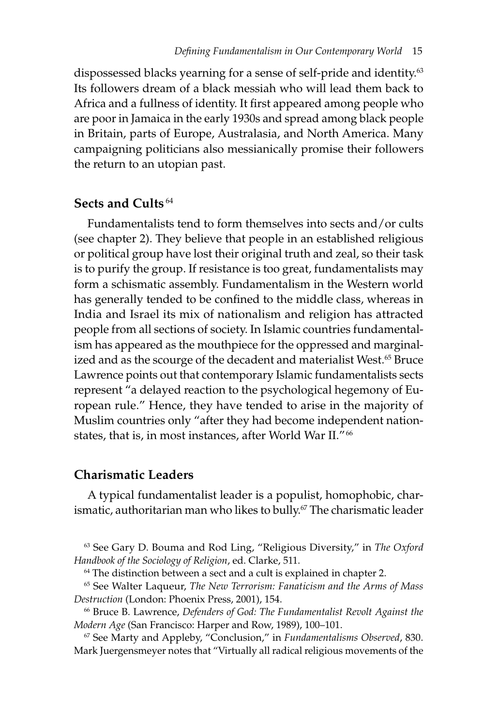dispossessed blacks yearning for a sense of self-pride and identity.<sup>63</sup> Its followers dream of a black messiah who will lead them back to Africa and a fullness of identity. It first appeared among people who are poor in Jamaica in the early 1930s and spread among black people in Britain, parts of Europe, Australasia, and North America. Many campaigning politicians also messianically promise their followers the return to an utopian past.

#### **Sects and Cults** <sup>64</sup>

Fundamentalists tend to form themselves into sects and/or cults (see chapter 2). They believe that people in an established religious or political group have lost their original truth and zeal, so their task is to purify the group. If resistance is too great, fundamentalists may form a schismatic assembly. Fundamentalism in the Western world has generally tended to be confined to the middle class, whereas in India and Israel its mix of nationalism and religion has attracted people from all sections of society. In Islamic countries fundamentalism has appeared as the mouthpiece for the oppressed and marginalized and as the scourge of the decadent and materialist West.<sup>65</sup> Bruce Lawrence points out that contemporary Islamic fundamentalists sects represent "a delayed reaction to the psychological hegemony of European rule." Hence, they have tended to arise in the majority of Muslim countries only "after they had become independent nationstates, that is, in most instances, after World War II." 66

#### **Charismatic Leaders**

A typical fundamentalist leader is a populist, homophobic, charismatic, authoritarian man who likes to bully.<sup>67</sup> The charismatic leader

63 See Gary D. Bouma and Rod Ling, "Religious Diversity," in *The Oxford Handbook of the Sociology of Religion*, ed. Clarke, 511.

<sup>64</sup> The distinction between a sect and a cult is explained in chapter 2.

65 See Walter Laqueur, *The New Terrorism: Fanaticism and the Arms of Mass Destruction* (London: Phoenix Press, 2001), 154.

66 Bruce B. Lawrence, *Defenders of God: The Fundamentalist Revolt Against the Modern Age* (San Francisco: Harper and Row, 1989), 100–101.

67 See Marty and Appleby, "Conclusion," in *Fundamentalisms Observed*, 830. Mark Juergensmeyer notes that "Virtually all radical religious movements of the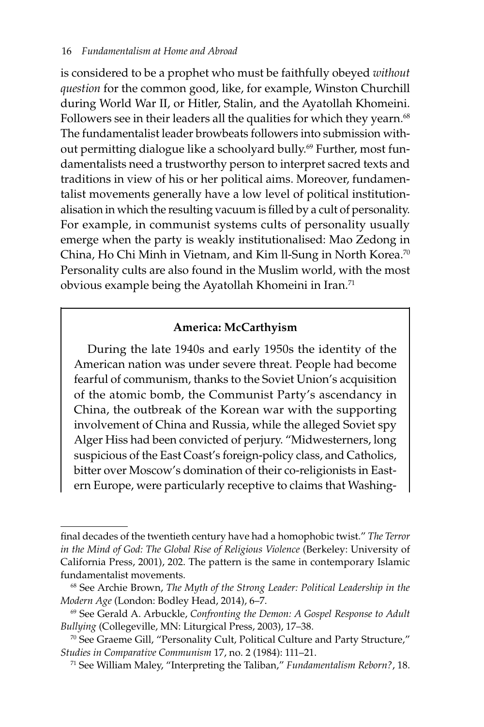is considered to be a prophet who must be faithfully obeyed *without question* for the common good, like, for example, Winston Churchill during World War II, or Hitler, Stalin, and the Ayatollah Khomeini. Followers see in their leaders all the qualities for which they yearn.<sup>68</sup> The fundamentalist leader browbeats followers into submission without permitting dialogue like a schoolyard bully.69 Further, most fundamentalists need a trustworthy person to interpret sacred texts and traditions in view of his or her political aims. Moreover, fundamentalist movements generally have a low level of political institutionalisation in which the resulting vacuum is filled by a cult of personality. For example, in communist systems cults of personality usually emerge when the party is weakly institutionalised: Mao Zedong in China, Ho Chi Minh in Vietnam, and Kim ll-Sung in North Korea.<sup>70</sup> Personality cults are also found in the Muslim world, with the most obvious example being the Ayatollah Khomeini in Iran.<sup>71</sup>

#### **America: McCarthyism**

During the late 1940s and early 1950s the identity of the American nation was under severe threat. People had become fearful of communism, thanks to the Soviet Union's acquisition of the atomic bomb, the Communist Party's ascendancy in China, the outbreak of the Korean war with the supporting involvement of China and Russia, while the alleged Soviet spy Alger Hiss had been convicted of perjury. "Midwesterners, long suspicious of the East Coast's foreign-policy class, and Catholics, bitter over Moscow's domination of their co-religionists in Eastern Europe, were particularly receptive to claims that Washing-

final decades of the twentieth century have had a homophobic twist." *The Terror in the Mind of God: The Global Rise of Religious Violence* (Berkeley: University of California Press, 2001), 202. The pattern is the same in contemporary Islamic fundamentalist movements.

<sup>68</sup> See Archie Brown, *The Myth of the Strong Leader: Political Leadership in the Modern Age* (London: Bodley Head, 2014), 6–7.

<sup>69</sup> See Gerald A. Arbuckle, *Confronting the Demon: A Gospel Response to Adult Bullying* (Collegeville, MN: Liturgical Press, 2003), 17–38.

<sup>70</sup> See Graeme Gill, "Personality Cult, Political Culture and Party Structure," *Studies in Comparative Communism* 17, no. 2 (1984): 111–21.

<sup>71</sup> See William Maley, "Interpreting the Taliban," *Fundamentalism Reborn?*, 18.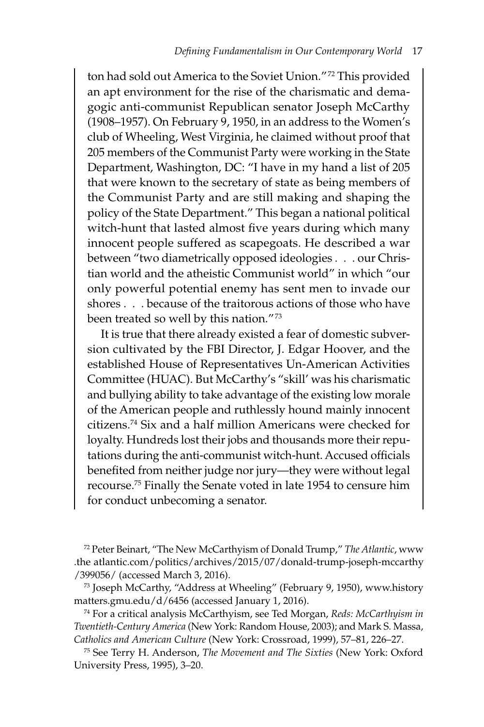ton had sold out America to the Soviet Union." 72 This provided an apt environment for the rise of the charismatic and demagogic anti-communist Republican senator Joseph McCarthy (1908–1957). On February 9, 1950, in an address to the Women's club of Wheeling, West Virginia, he claimed without proof that 205 members of the Communist Party were working in the State Department, Washington, DC: "I have in my hand a list of 205 that were known to the secretary of state as being members of the Communist Party and are still making and shaping the policy of the State Department." This began a national political witch-hunt that lasted almost five years during which many innocent people suffered as scapegoats. He described a war between "two diametrically opposed ideologies . . . our Christian world and the atheistic Communist world" in which "our only powerful potential enemy has sent men to invade our shores . . . because of the traitorous actions of those who have been treated so well by this nation."<sup>73</sup>

It is true that there already existed a fear of domestic subversion cultivated by the FBI Director, J. Edgar Hoover, and the established House of Representatives Un-American Activities Committee (HUAC). But McCarthy's "skill' was his charismatic and bullying ability to take advantage of the existing low morale of the American people and ruthlessly hound mainly innocent citizens.74 Six and a half million Americans were checked for loyalty. Hundreds lost their jobs and thousands more their reputations during the anti-communist witch-hunt. Accused officials benefited from neither judge nor jury—they were without legal recourse.75 Finally the Senate voted in late 1954 to censure him for conduct unbecoming a senator.

72 Peter Beinart, "The New McCarthyism of Donald Trump," *The Atlantic*, www .the atlantic.com/politics/archives/2015/07/donald-trump-joseph-mccarthy /399056/ (accessed March 3, 2016).

73 Joseph McCarthy, "Address at Wheeling" (February 9, 1950), www.history matters.gmu.edu/d/6456 (accessed January 1, 2016).

74 For a critical analysis McCarthyism, see Ted Morgan, *Reds: McCarthyism in Twentieth-Century America* (New York: Random House, 2003); and Mark S. Massa, *Catholics and American Culture* (New York: Crossroad, 1999), 57–81, 226–27.

75 See Terry H. Anderson, *The Movement and The Sixties* (New York: Oxford University Press, 1995), 3–20.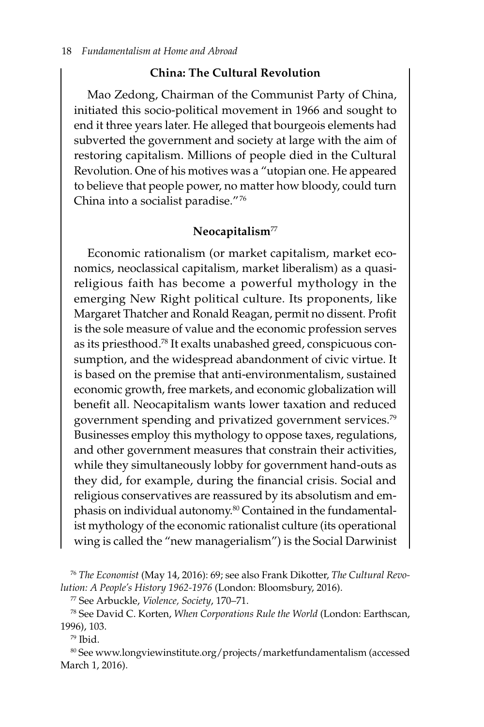#### **China: The Cultural Revolution**

Mao Zedong, Chairman of the Communist Party of China, initiated this socio-political movement in 1966 and sought to end it three years later. He alleged that bourgeois elements had subverted the government and society at large with the aim of restoring capitalism. Millions of people died in the Cultural Revolution. One of his motives was a "utopian one. He appeared to believe that people power, no matter how bloody, could turn China into a socialist paradise." 76

#### **Neocapitalism**<sup>77</sup>

Economic rationalism (or market capitalism, market economics, neoclassical capitalism, market liberalism) as a quasireligious faith has become a powerful mythology in the emerging New Right political culture. Its proponents, like Margaret Thatcher and Ronald Reagan, permit no dissent. Profit is the sole measure of value and the economic profession serves as its priesthood.78 It exalts unabashed greed, conspicuous consumption, and the widespread abandonment of civic virtue. It is based on the premise that anti-environmentalism, sustained economic growth, free markets, and economic globalization will benefit all. Neocapitalism wants lower taxation and reduced government spending and privatized government services.79 Businesses employ this mythology to oppose taxes, regulations, and other government measures that constrain their activities, while they simultaneously lobby for government hand-outs as they did, for example, during the financial crisis. Social and religious conservatives are reassured by its absolutism and emphasis on individual autonomy.<sup>80</sup> Contained in the fundamentalist mythology of the economic rationalist culture (its operational wing is called the "new managerialism") is the Social Darwinist

77 See Arbuckle, *Violence, Society*, 170–71.

78 See David C. Korten, *When Corporations Rule the World* (London: Earthscan, 1996), 103.

 $79$  Ibid.

80 See www.longviewinstitute.org/projects/marketfundamentalism (accessed March 1, 2016).

<sup>76</sup> *The Economist* (May 14, 2016): 69; see also Frank Dikotter, *The Cultural Revolution: A People's History 1962-1976* (London: Bloomsbury, 2016).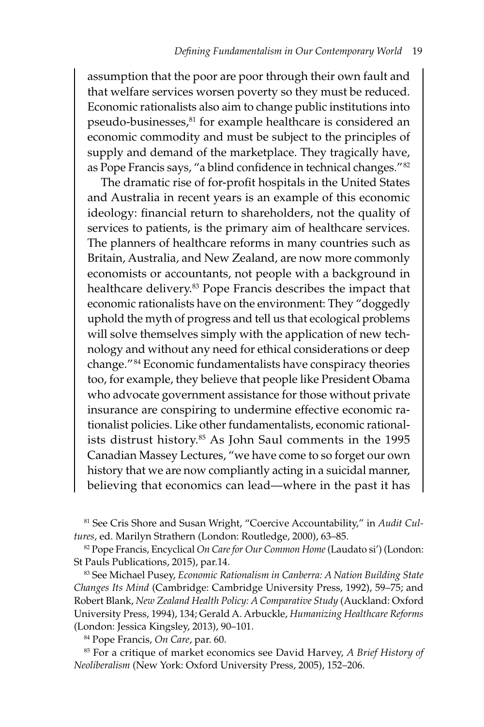assumption that the poor are poor through their own fault and that welfare services worsen poverty so they must be reduced. Economic rationalists also aim to change public institutions into pseudo-businesses,<sup>81</sup> for example healthcare is considered an economic commodity and must be subject to the principles of supply and demand of the marketplace. They tragically have, as Pope Francis says, "a blind confidence in technical changes."<sup>82</sup>

The dramatic rise of for-profit hospitals in the United States and Australia in recent years is an example of this economic ideology: financial return to shareholders, not the quality of services to patients, is the primary aim of healthcare services. The planners of healthcare reforms in many countries such as Britain, Australia, and New Zealand, are now more commonly economists or accountants, not people with a background in healthcare delivery.83 Pope Francis describes the impact that economic rationalists have on the environment: They "doggedly uphold the myth of progress and tell us that ecological problems will solve themselves simply with the application of new technology and without any need for ethical considerations or deep change." 84 Economic fundamentalists have conspiracy theories too, for example, they believe that people like President Obama who advocate government assistance for those without private insurance are conspiring to undermine effective economic rationalist policies. Like other fundamentalists, economic rationalists distrust history.85 As John Saul comments in the 1995 Canadian Massey Lectures, "we have come to so forget our own history that we are now compliantly acting in a suicidal manner, believing that economics can lead—where in the past it has

81 See Cris Shore and Susan Wright, "Coercive Accountability," in *Audit Cultures*, ed. Marilyn Strathern (London: Routledge, 2000), 63–85.

82 Pope Francis, Encyclical *On Care for Our Common Home* (Laudato si') (London: St Pauls Publications, 2015), par.14.

83 See Michael Pusey, *Economic Rationalism in Canberra: A Nation Building State Changes Its Mind* (Cambridge: Cambridge University Press, 1992), 59–75; and Robert Blank, *New Zealand Health Policy: A Comparative Study* (Auckland: Oxford University Press, 1994), 134; Gerald A. Arbuckle, *Humanizing Healthcare Reforms* (London: Jessica Kingsley, 2013), 90–101.

84 Pope Francis, *On Care*, par. 60.

85 For a critique of market economics see David Harvey, *A Brief History of Neoliberalism* (New York: Oxford University Press, 2005), 152–206.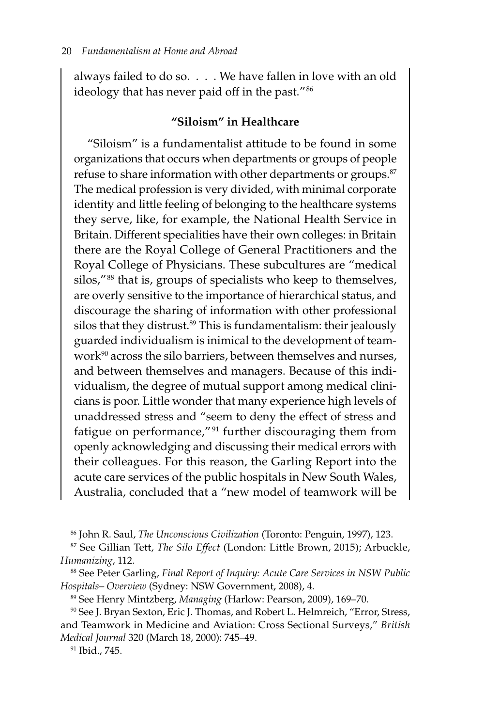always failed to do so. . . . We have fallen in love with an old ideology that has never paid off in the past."<sup>86</sup>

#### **"Siloism" in Healthcare**

"Siloism" is a fundamentalist attitude to be found in some organizations that occurs when departments or groups of people refuse to share information with other departments or groups.<sup>87</sup> The medical profession is very divided, with minimal corporate identity and little feeling of belonging to the healthcare systems they serve, like, for example, the National Health Service in Britain. Different specialities have their own colleges: in Britain there are the Royal College of General Practitioners and the Royal College of Physicians. These subcultures are "medical silos,"<sup>88</sup> that is, groups of specialists who keep to themselves, are overly sensitive to the importance of hierarchical status, and discourage the sharing of information with other professional silos that they distrust. $89$  This is fundamentalism: their jealously guarded individualism is inimical to the development of teamwork<sup>90</sup> across the silo barriers, between themselves and nurses, and between themselves and managers. Because of this individualism, the degree of mutual support among medical clinicians is poor. Little wonder that many experience high levels of unaddressed stress and "seem to deny the effect of stress and fatigue on performance,"<sup>91</sup> further discouraging them from openly acknowledging and discussing their medical errors with their colleagues. For this reason, the Garling Report into the acute care services of the public hospitals in New South Wales, Australia, concluded that a "new model of teamwork will be

86 John R. Saul, *The Unconscious Civilization* (Toronto: Penguin, 1997), 123.

87 See Gillian Tett, *The Silo Effect* (London: Little Brown, 2015); Arbuckle, *Humanizing*, 112.

88 See Peter Garling, *Final Report of Inquiry: Acute Care Services in NSW Public Hospitals– Overview* (Sydney: NSW Government, 2008), 4.

89 See Henry Mintzberg, *Managing* (Harlow: Pearson, 2009), 169–70.

90 See J. Bryan Sexton, Eric J. Thomas, and Robert L. Helmreich, "Error, Stress, and Teamwork in Medicine and Aviation: Cross Sectional Surveys," *British Medical Journal* 320 (March 18, 2000): 745–49.

<sup>91</sup> Ibid., 745.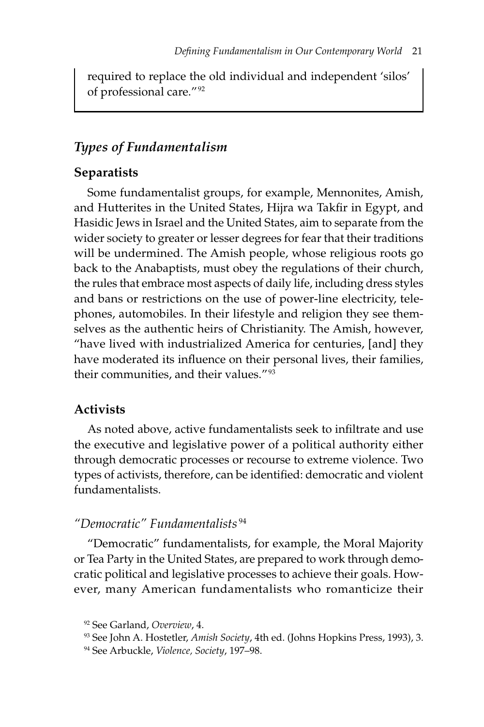required to replace the old individual and independent 'silos' of professional care." 92

#### *Types of Fundamentalism*

#### **Separatists**

Some fundamentalist groups, for example, Mennonites, Amish, and Hutterites in the United States, Hijra wa Takfir in Egypt, and Hasidic Jews in Israel and the United States, aim to separate from the wider society to greater or lesser degrees for fear that their traditions will be undermined. The Amish people, whose religious roots go back to the Anabaptists, must obey the regulations of their church, the rules that embrace most aspects of daily life, including dress styles and bans or restrictions on the use of power-line electricity, telephones, automobiles. In their lifestyle and religion they see themselves as the authentic heirs of Christianity. The Amish, however, "have lived with industrialized America for centuries, [and] they have moderated its influence on their personal lives, their families, their communities, and their values." 93

#### **Activists**

As noted above, active fundamentalists seek to infiltrate and use the executive and legislative power of a political authority either through democratic processes or recourse to extreme violence. Two types of activists, therefore, can be identified: democratic and violent fundamentalists.

# *"Democratic" Fundamentalists* <sup>94</sup>

"Democratic" fundamentalists, for example, the Moral Majority or Tea Party in the United States, are prepared to work through democratic political and legislative processes to achieve their goals. However, many American fundamentalists who romanticize their

<sup>92</sup> See Garland, *Overview*, 4.

<sup>93</sup> See John A. Hostetler, *Amish Society*, 4th ed. (Johns Hopkins Press, 1993), 3.

<sup>94</sup> See Arbuckle, *Violence, Society*, 197–98.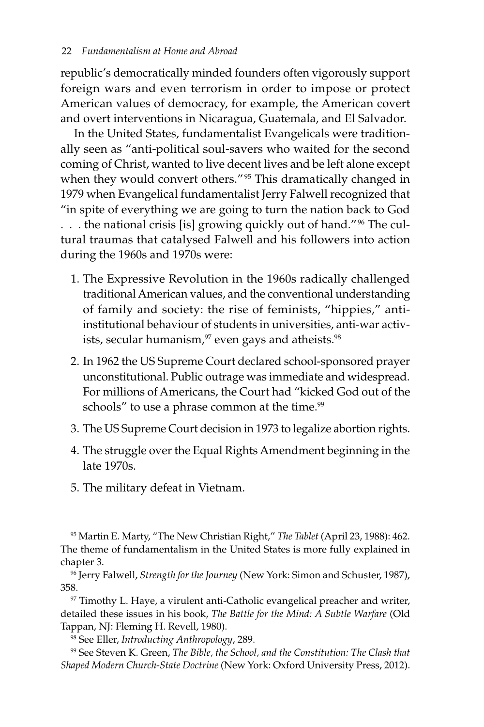republic's democratically minded founders often vigorously support foreign wars and even terrorism in order to impose or protect American values of democracy, for example, the American covert and overt interventions in Nicaragua, Guatemala, and El Salvador.

In the United States, fundamentalist Evangelicals were traditionally seen as "anti-political soul-savers who waited for the second coming of Christ, wanted to live decent lives and be left alone except when they would convert others."<sup>95</sup> This dramatically changed in 1979 when Evangelical fundamentalist Jerry Falwell recognized that "in spite of everything we are going to turn the nation back to God . . . the national crisis [is] growing quickly out of hand."<sup>96</sup> The cultural traumas that catalysed Falwell and his followers into action during the 1960s and 1970s were:

- 1. The Expressive Revolution in the 1960s radically challenged traditional American values, and the conventional understanding of family and society: the rise of feminists, "hippies," anti-institutional behaviour of students in universities, anti-war activists, secular humanism, $97$  even gays and atheists. $98$
- 2. In 1962 the US Supreme Court declared school-sponsored prayer unconstitutional. Public outrage was immediate and widespread. For millions of Americans, the Court had "kicked God out of the schools" to use a phrase common at the time.<sup>99</sup>
- 3. The US Supreme Court decision in 1973 to legalize abortion rights.
- 4. The struggle over the Equal Rights Amendment beginning in the late 1970s.
- 5. The military defeat in Vietnam.

95 Martin E. Marty, "The New Christian Right," *The Tablet* (April 23, 1988): 462. The theme of fundamentalism in the United States is more fully explained in chapter 3.

96 Jerry Falwell, *Strength for the Journey* (New York: Simon and Schuster, 1987), 358.

 $97$  Timothy L. Haye, a virulent anti-Catholic evangelical preacher and writer, detailed these issues in his book, *The Battle for the Mind: A Subtle Warfare* (Old Tappan, NJ: Fleming H. Revell, 1980).

98 See Eller, *Introducting Anthropology*, 289.

99 See Steven K. Green, *The Bible, the School, and the Constitution: The Clash that Shaped Modern Church-State Doctrine* (New York: Oxford University Press, 2012).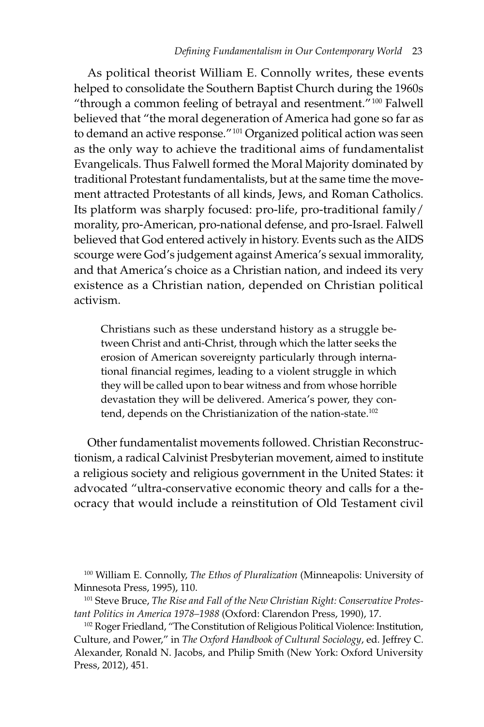As political theorist William E. Connolly writes, these events helped to consolidate the Southern Baptist Church during the 1960s "through a common feeling of betrayal and resentment." 100 Falwell believed that "the moral degeneration of America had gone so far as to demand an active response." 101 Organized political action was seen as the only way to achieve the traditional aims of fundamentalist Evangelicals. Thus Falwell formed the Moral Majority dominated by traditional Protestant fundamentalists, but at the same time the movement attracted Protestants of all kinds, Jews, and Roman Catholics. Its platform was sharply focused: pro-life, pro-traditional family/ morality, pro-American, pro-national defense, and pro-Israel. Falwell believed that God entered actively in history. Events such as the AIDS scourge were God's judgement against America's sexual immorality, and that America's choice as a Christian nation, and indeed its very existence as a Christian nation, depended on Christian political activism.

Christians such as these understand history as a struggle between Christ and anti-Christ, through which the latter seeks the erosion of American sovereignty particularly through international financial regimes, leading to a violent struggle in which they will be called upon to bear witness and from whose horrible devastation they will be delivered. America's power, they contend, depends on the Christianization of the nation-state.<sup>102</sup>

Other fundamentalist movements followed. Christian Reconstructionism, a radical Calvinist Presbyterian movement, aimed to institute a religious society and religious government in the United States: it advocated "ultra-conservative economic theory and calls for a theocracy that would include a reinstitution of Old Testament civil

100 William E. Connolly, *The Ethos of Pluralization* (Minneapolis: University of Minnesota Press, 1995), 110.

<sup>101</sup> Steve Bruce, The Rise and Fall of the New Christian Right: Conservative Protes*tant Politics in America 1978–1988* (Oxford: Clarendon Press, 1990), 17.

<sup>102</sup> Roger Friedland, "The Constitution of Religious Political Violence: Institution, Culture, and Power," in *The Oxford Handbook of Cultural Sociology*, ed. Jeffrey C. Alexander, Ronald N. Jacobs, and Philip Smith (New York: Oxford University Press, 2012), 451.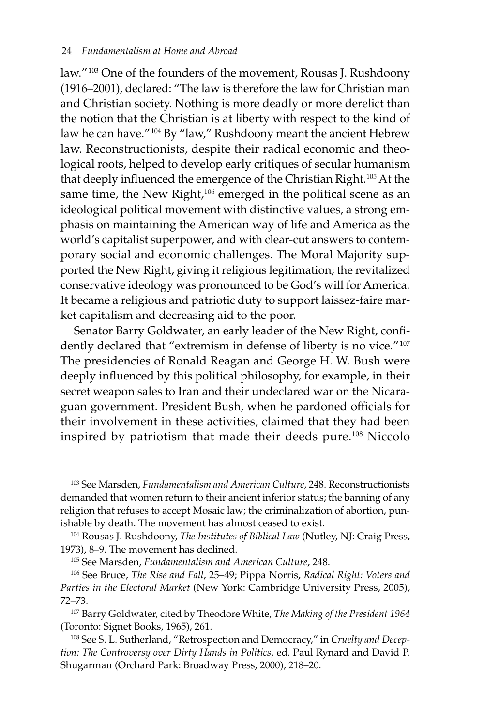law."<sup>103</sup> One of the founders of the movement, Rousas J. Rushdoony (1916–2001), declared: "The law is therefore the law for Christian man and Christian society. Nothing is more deadly or more derelict than the notion that the Christian is at liberty with respect to the kind of law he can have."<sup>104</sup> By "law," Rushdoony meant the ancient Hebrew law. Reconstructionists, despite their radical economic and theological roots, helped to develop early critiques of secular humanism that deeply influenced the emergence of the Christian Right.105 At the same time, the New Right,<sup>106</sup> emerged in the political scene as an ideological political movement with distinctive values, a strong emphasis on maintaining the American way of life and America as the world's capitalist superpower, and with clear-cut answers to contemporary social and economic challenges. The Moral Majority supported the New Right, giving it religious legitimation; the revitalized conservative ideology was pronounced to be God's will for America. It became a religious and patriotic duty to support laissez-faire market capitalism and decreasing aid to the poor.

Senator Barry Goldwater, an early leader of the New Right, confidently declared that "extremism in defense of liberty is no vice."<sup>107</sup> The presidencies of Ronald Reagan and George H. W. Bush were deeply influenced by this political philosophy, for example, in their secret weapon sales to Iran and their undeclared war on the Nicaraguan government. President Bush, when he pardoned officials for their involvement in these activities, claimed that they had been inspired by patriotism that made their deeds pure.108 Niccolo

103 See Marsden, *Fundamentalism and American Culture*, 248. Reconstructionists demanded that women return to their ancient inferior status; the banning of any religion that refuses to accept Mosaic law; the criminalization of abortion, punishable by death. The movement has almost ceased to exist.

104 Rousas J. Rushdoony, *The Institutes of Biblical Law* (Nutley, NJ: Craig Press, 1973), 8–9. The movement has declined.

105 See Marsden, *Fundamentalism and American Culture*, 248.

106 See Bruce, *The Rise and Fall*, 25–49; Pippa Norris, *Radical Right: Voters and Parties in the Electoral Market* (New York: Cambridge University Press, 2005), 72–73.

107 Barry Goldwater, cited by Theodore White, *The Making of the President 1964* (Toronto: Signet Books, 1965), 261.

108 See S. L. Sutherland, "Retrospection and Democracy," in *Cruelty and Deception: The Controversy over Dirty Hands in Politics*, ed. Paul Rynard and David P. Shugarman (Orchard Park: Broadway Press, 2000), 218–20.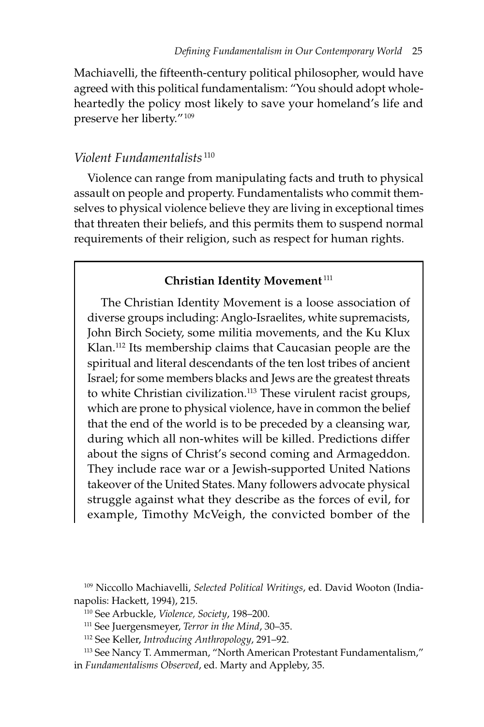Machiavelli, the fifteenth-century political philosopher, would have agreed with this political fundamentalism: "You should adopt wholeheartedly the policy most likely to save your homeland's life and preserve her liberty." 109

#### *Violent Fundamentalists* <sup>110</sup>

Violence can range from manipulating facts and truth to physical assault on people and property. Fundamentalists who commit themselves to physical violence believe they are living in exceptional times that threaten their beliefs, and this permits them to suspend normal requirements of their religion, such as respect for human rights.

#### **Christian Identity Movement**<sup>111</sup>

The Christian Identity Movement is a loose association of diverse groups including: Anglo-Israelites, white supremacists, John Birch Society, some militia movements, and the Ku Klux Klan.112 Its membership claims that Caucasian people are the spiritual and literal descendants of the ten lost tribes of ancient Israel; for some members blacks and Jews are the greatest threats to white Christian civilization.<sup>113</sup> These virulent racist groups, which are prone to physical violence, have in common the belief that the end of the world is to be preceded by a cleansing war, during which all non-whites will be killed. Predictions differ about the signs of Christ's second coming and Armageddon. They include race war or a Jewish-supported United Nations takeover of the United States. Many followers advocate physical struggle against what they describe as the forces of evil, for example, Timothy McVeigh, the convicted bomber of the

- 111 See Juergensmeyer, *Terror in the Mind*, 30–35.
- 112 See Keller, *Introducing Anthropology*, 291–92.
- 113 See Nancy T. Ammerman, "North American Protestant Fundamentalism," in *Fundamentalisms Observed*, ed. Marty and Appleby, 35.

<sup>109</sup> Niccollo Machiavelli, *Selected Political Writings*, ed. David Wooton (Indianapolis: Hackett, 1994), 215.

<sup>110</sup> See Arbuckle, *Violence, Society*, 198–200.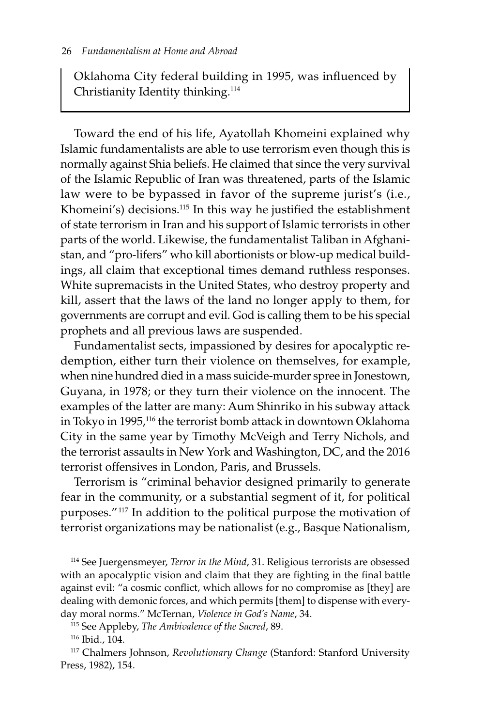Oklahoma City federal building in 1995, was influenced by Christianity Identity thinking.114

Toward the end of his life, Ayatollah Khomeini explained why Islamic fundamentalists are able to use terrorism even though this is normally against Shia beliefs. He claimed that since the very survival of the Islamic Republic of Iran was threatened, parts of the Islamic law were to be bypassed in favor of the supreme jurist's (i.e., Khomeini's) decisions.115 In this way he justified the establishment of state terrorism in Iran and his support of Islamic terrorists in other parts of the world. Likewise, the fundamentalist Taliban in Afghanistan, and "pro-lifers" who kill abortionists or blow-up medical buildings, all claim that exceptional times demand ruthless responses. White supremacists in the United States, who destroy property and kill, assert that the laws of the land no longer apply to them, for governments are corrupt and evil. God is calling them to be his special prophets and all previous laws are suspended.

Fundamentalist sects, impassioned by desires for apocalyptic redemption, either turn their violence on themselves, for example, when nine hundred died in a mass suicide-murder spree in Jonestown, Guyana, in 1978; or they turn their violence on the innocent. The examples of the latter are many: Aum Shinriko in his subway attack in Tokyo in 1995,116 the terrorist bomb attack in downtown Oklahoma City in the same year by Timothy McVeigh and Terry Nichols, and the terrorist assaults in New York and Washington, DC, and the 2016 terrorist offensives in London, Paris, and Brussels.

Terrorism is "criminal behavior designed primarily to generate fear in the community, or a substantial segment of it, for political purposes." 117 In addition to the political purpose the motivation of terrorist organizations may be nationalist (e.g., Basque Nationalism,

114 See Juergensmeyer, *Terror in the Mind*, 31. Religious terrorists are obsessed with an apocalyptic vision and claim that they are fighting in the final battle against evil: "a cosmic conflict, which allows for no compromise as [they] are dealing with demonic forces, and which permits [them] to dispense with everyday moral norms." McTernan, *Violence in God's Name*, 34.

115 See Appleby, *The Ambivalence of the Sacred*, 89.

116 Ibid., 104.

117 Chalmers Johnson, *Revolutionary Change* (Stanford: Stanford University Press, 1982), 154.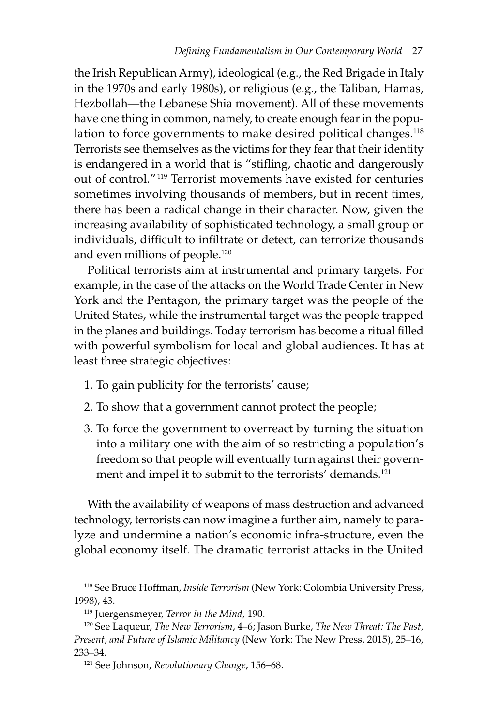the Irish Republican Army), ideological (e.g., the Red Brigade in Italy in the 1970s and early 1980s), or religious (e.g., the Taliban, Hamas, Hezbollah—the Lebanese Shia movement). All of these movements have one thing in common, namely, to create enough fear in the population to force governments to make desired political changes.<sup>118</sup> Terrorists see themselves as the victims for they fear that their identity is endangered in a world that is "stifling, chaotic and dangerously out of control." 119 Terrorist movements have existed for centuries sometimes involving thousands of members, but in recent times, there has been a radical change in their character. Now, given the increasing availability of sophisticated technology, a small group or individuals, difficult to infiltrate or detect, can terrorize thousands and even millions of people.120

Political terrorists aim at instrumental and primary targets. For example, in the case of the attacks on the World Trade Center in New York and the Pentagon, the primary target was the people of the United States, while the instrumental target was the people trapped in the planes and buildings. Today terrorism has become a ritual filled with powerful symbolism for local and global audiences. It has at least three strategic objectives:

- 1. To gain publicity for the terrorists' cause;
- 2. To show that a government cannot protect the people;
- 3. To force the government to overreact by turning the situation into a military one with the aim of so restricting a population's freedom so that people will eventually turn against their government and impel it to submit to the terrorists' demands.<sup>121</sup>

With the availability of weapons of mass destruction and advanced technology, terrorists can now imagine a further aim, namely to paralyze and undermine a nation's economic infra-structure, even the global economy itself. The dramatic terrorist attacks in the United

<sup>118</sup> See Bruce Hoffman, *Inside Terrorism* (New York: Colombia University Press, 1998), 43.

<sup>119</sup> Juergensmeyer, *Terror in the Mind*, 190.

<sup>120</sup> See Laqueur, *The New Terrorism*, 4–6; Jason Burke, *The New Threat: The Past, Present, and Future of Islamic Militancy* (New York: The New Press, 2015), 25–16, 233–34.

<sup>121</sup> See Johnson, *Revolutionary Change*, 156–68.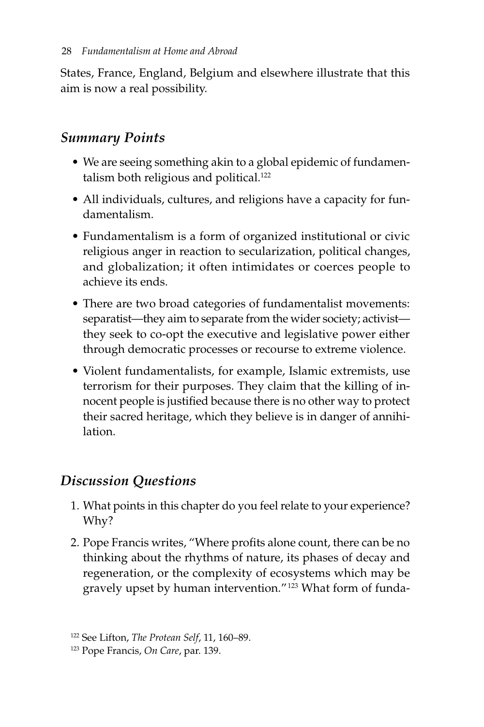States, France, England, Belgium and elsewhere illustrate that this aim is now a real possibility.

# *Summary Points*

- We are seeing something akin to a global epidemic of fundamentalism both religious and political.<sup>122</sup>
- All individuals, cultures, and religions have a capacity for fundamentalism.
- Fundamentalism is a form of organized institutional or civic religious anger in reaction to secularization, political changes, and globalization; it often intimidates or coerces people to achieve its ends.
- There are two broad categories of fundamentalist movements: separatist—they aim to separate from the wider society; activist they seek to co-opt the executive and legislative power either through democratic processes or recourse to extreme violence.
- Violent fundamentalists, for example, Islamic extremists, use terrorism for their purposes. They claim that the killing of innocent people is justified because there is no other way to protect their sacred heritage, which they believe is in danger of annihilation.

# *Discussion Questions*

- 1. What points in this chapter do you feel relate to your experience? Why?
- 2. Pope Francis writes, "Where profits alone count, there can be no thinking about the rhythms of nature, its phases of decay and regeneration, or the complexity of ecosystems which may be gravely upset by human intervention." 123 What form of funda-

<sup>122</sup> See Lifton, *The Protean Self*, 11, 160–89.

<sup>123</sup> Pope Francis, *On Care*, par. 139.